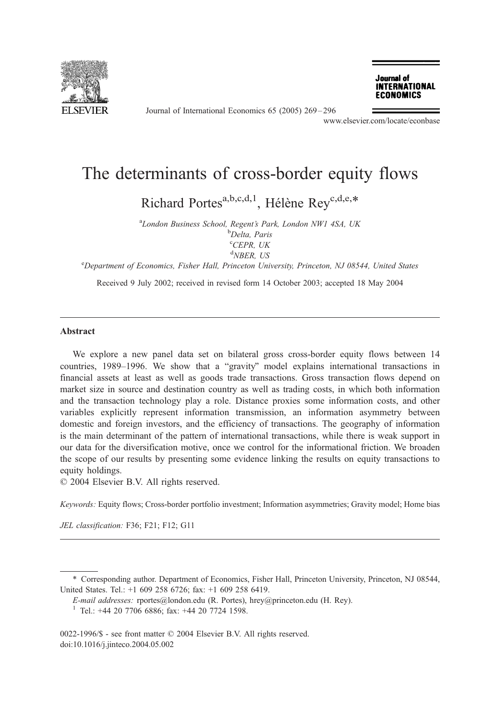

Journal of International Economics 65 (2005) 269 – 296

Journal of **INTERNATIONAL ECONOMICS** 

www.elsevier.com/locate/econbase

# The determinants of cross-border equity flows

Richard Portes<sup>a,b,c,d,1</sup>, Hélène Rey<sup>c,d,e,\*</sup>

<sup>a</sup>London Business School, Regent's Park, London NW1 4SA, UK b Delta, Paris <sup>c</sup>CEPR, UK  $d$ NBER. US

<sup>9</sup>NBER, US<br>Department of Economics, Fisher Hall, Princeton University, Princeton, NJ 08544, United States<sup>,</sup>

Received 9 July 2002; received in revised form 14 October 2003; accepted 18 May 2004

#### Abstract

We explore a new panel data set on bilateral gross cross-border equity flows between 14 countries, 1989–1996. We show that a "gravity" model explains international transactions in financial assets at least as well as goods trade transactions. Gross transaction flows depend on market size in source and destination country as well as trading costs, in which both information and the transaction technology play a role. Distance proxies some information costs, and other variables explicitly represent information transmission, an information asymmetry between domestic and foreign investors, and the efficiency of transactions. The geography of information is the main determinant of the pattern of international transactions, while there is weak support in our data for the diversification motive, once we control for the informational friction. We broaden the scope of our results by presenting some evidence linking the results on equity transactions to equity holdings.

 $\odot$  2004 Elsevier B.V. All rights reserved.

Keywords: Equity flows; Cross-border portfolio investment; Information asymmetries; Gravity model; Home bias

JEL classification: F36; F21; F12; G11

0022-1996/\$ - see front matter © 2004 Elsevier B.V. All rights reserved. doi:10.1016/j.jinteco.2004.05.002

<sup>\*</sup> Corresponding author. Department of Economics, Fisher Hall, Princeton University, Princeton, NJ 08544, United States. Tel.: +1 609 258 6726; fax: +1 609 258 6419.

E-mail addresses: rportes@london.edu (R. Portes), hrey@princeton.edu (H. Rey).  $1$  Tel.: +44 20 7706 6886; fax: +44 20 7724 1598.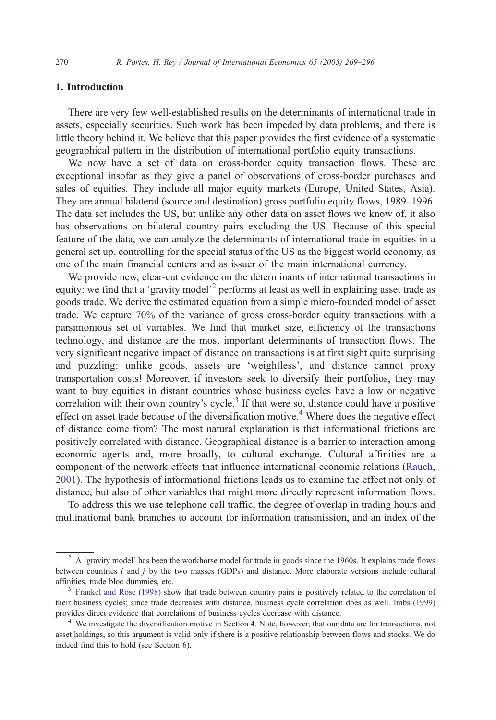# 1. Introduction

There are very few well-established results on the determinants of international trade in assets, especially securities. Such work has been impeded by data problems, and there is little theory behind it. We believe that this paper provides the first evidence of a systematic geographical pattern in the distribution of international portfolio equity transactions.

We now have a set of data on cross-border equity transaction flows. These are exceptional insofar as they give a panel of observations of cross-border purchases and sales of equities. They include all major equity markets (Europe, United States, Asia). They are annual bilateral (source and destination) gross portfolio equity flows, 1989–1996. The data set includes the US, but unlike any other data on asset flows we know of, it also has observations on bilateral country pairs excluding the US. Because of this special feature of the data, we can analyze the determinants of international trade in equities in a general set up, controlling for the special status of the US as the biggest world economy, as one of the main financial centers and as issuer of the main international currency.

We provide new, clear-cut evidence on the determinants of international transactions in equity: we find that a 'gravity model'<sup>2</sup> performs at least as well in explaining asset trade as goods trade. We derive the estimated equation from a simple micro-founded model of asset trade. We capture 70% of the variance of gross cross-border equity transactions with a parsimonious set of variables. We find that market size, efficiency of the transactions technology, and distance are the most important determinants of transaction flows. The very significant negative impact of distance on transactions is at first sight quite surprising and puzzling: unlike goods, assets are 'weightless', and distance cannot proxy transportation costs! Moreover, if investors seek to diversify their portfolios, they may want to buy equities in distant countries whose business cycles have a low or negative correlation with their own country's cycle.<sup>3</sup> If that were so, distance could have a positive effect on asset trade because of the diversification motive.<sup>4</sup> Where does the negative effect of distance come from? The most natural explanation is that informational frictions are positively correlated with distance. Geographical distance is a barrier to interaction among economic agents and, more broadly, to cultural exchange. Cultural affinities are a component of the network effects that influence international economic relations ([Rauch,](#page-26-0) 2001). The hypothesis of informational frictions leads us to examine the effect not only of distance, but also of other variables that might more directly represent information flows.

To address this we use telephone call traffic, the degree of overlap in trading hours and multinational bank branches to account for information transmission, and an index of the

 $2 \text{ A}$  'gravity model' has been the workhorse model for trade in goods since the 1960s. It explains trade flows between countries i and j by the two masses (GDPs) and distance. More elaborate versions include cultural affinities, trade bloc dummies, etc.<br><sup>3</sup> [Frankel and Rose \(1998\)](#page-25-0) show that trade between country pairs is positively related to the correlation of

their business cycles; since trade decreases with distance, business cycle correlation does as well. [Imbs \(1999\)](#page-26-0) provides direct evidence that correlations of business cycles decrease with distance. <sup>4</sup> We investigate the diversification motive in Section 4. Note, however, that our data are for transactions, not

asset holdings, so this argument is valid only if there is a positive relationship between flows and stocks. We do indeed find this to hold (see Section 6).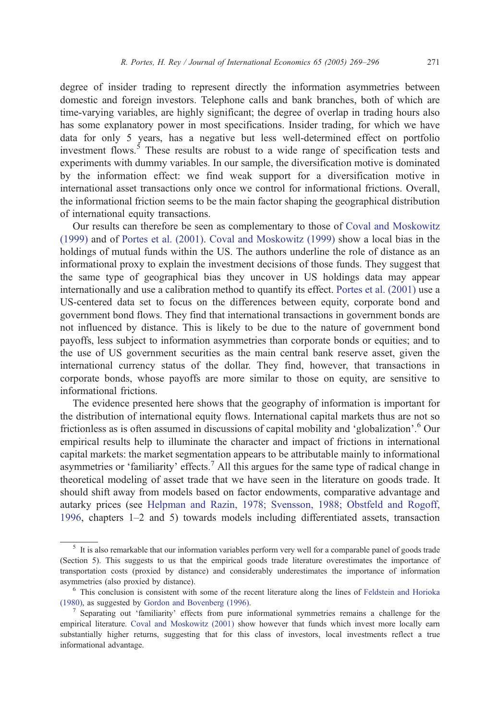degree of insider trading to represent directly the information asymmetries between domestic and foreign investors. Telephone calls and bank branches, both of which are time-varying variables, are highly significant; the degree of overlap in trading hours also has some explanatory power in most specifications. Insider trading, for which we have data for only 5 years, has a negative but less well-determined effect on portfolio investment flows.<sup>5</sup> These results are robust to a wide range of specification tests and experiments with dummy variables. In our sample, the diversification motive is dominated by the information effect: we find weak support for a diversification motive in international asset transactions only once we control for informational frictions. Overall, the informational friction seems to be the main factor shaping the geographical distribution of international equity transactions.

Our results can therefore be seen as complementary to those of [Coval and Moskowitz](#page-25-0) (1999) and of [Portes et al. \(2001\).](#page-26-0) [Coval and Moskowitz \(1999\)](#page-25-0) show a local bias in the holdings of mutual funds within the US. The authors underline the role of distance as an informational proxy to explain the investment decisions of those funds. They suggest that the same type of geographical bias they uncover in US holdings data may appear internationally and use a calibration method to quantify its effect. [Portes et al. \(2001\)](#page-26-0) use a US-centered data set to focus on the differences between equity, corporate bond and government bond flows. They find that international transactions in government bonds are not influenced by distance. This is likely to be due to the nature of government bond payoffs, less subject to information asymmetries than corporate bonds or equities; and to the use of US government securities as the main central bank reserve asset, given the international currency status of the dollar. They find, however, that transactions in corporate bonds, whose payoffs are more similar to those on equity, are sensitive to informational frictions.

The evidence presented here shows that the geography of information is important for the distribution of international equity flows. International capital markets thus are not so frictionless as is often assumed in discussions of capital mobility and 'globalization'.<sup>6</sup> Our empirical results help to illuminate the character and impact of frictions in international capital markets: the market segmentation appears to be attributable mainly to informational asymmetries or 'familiarity' effects.<sup>7</sup> All this argues for the same type of radical change in theoretical modeling of asset trade that we have seen in the literature on goods trade. It should shift away from models based on factor endowments, comparative advantage and autarky prices (see [Helpman and Razin, 1978; Svensson, 1988; Obstfeld and Rogoff,](#page-26-0) 1996, chapters 1–2 and 5) towards models including differentiated assets, transaction

<sup>&</sup>lt;sup>5</sup> It is also remarkable that our information variables perform very well for a comparable panel of goods trade (Section 5). This suggests to us that the empirical goods trade literature overestimates the importance of transportation costs (proxied by distance) and considerably underestimates the importance of information asymmetries (also proxied by distance).<br><sup>6</sup> This conclusion is consistent with some of the recent literature along the lines of [Feldstein and Horioka](#page-25-0)

<sup>(1980),</sup> as suggested by [Gordon and Bovenberg \(1996\).](#page-25-0)<br><sup>7</sup> Separating out 'familiarity' effects from pure informational symmetries remains a challenge for the

empirical literature. [Coval and Moskowitz \(2001\)](#page-25-0) show however that funds which invest more locally earn substantially higher returns, suggesting that for this class of investors, local investments reflect a true informational advantage.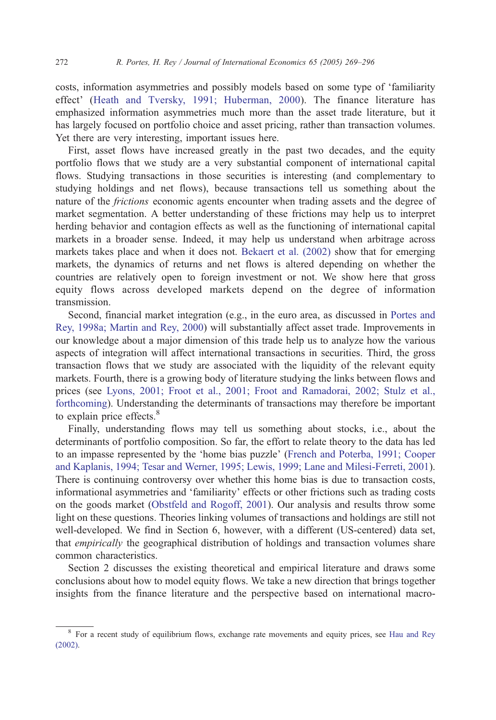costs, information asymmetries and possibly models based on some type of 'familiarity effect' ([Heath and Tversky, 1991; Huberman, 2000\)](#page-26-0). The finance literature has emphasized information asymmetries much more than the asset trade literature, but it has largely focused on portfolio choice and asset pricing, rather than transaction volumes. Yet there are very interesting, important issues here.

First, asset flows have increased greatly in the past two decades, and the equity portfolio flows that we study are a very substantial component of international capital flows. Studying transactions in those securities is interesting (and complementary to studying holdings and net flows), because transactions tell us something about the nature of the frictions economic agents encounter when trading assets and the degree of market segmentation. A better understanding of these frictions may help us to interpret herding behavior and contagion effects as well as the functioning of international capital markets in a broader sense. Indeed, it may help us understand when arbitrage across markets takes place and when it does not. [Bekaert et al. \(2002\)](#page-25-0) show that for emerging markets, the dynamics of returns and net flows is altered depending on whether the countries are relatively open to foreign investment or not. We show here that gross equity flows across developed markets depend on the degree of information transmission.

Second, financial market integration (e.g., in the euro area, as discussed in [Portes and](#page-26-0) Rey, 1998a; Martin and Rey, 2000) will substantially affect asset trade. Improvements in our knowledge about a major dimension of this trade help us to analyze how the various aspects of integration will affect international transactions in securities. Third, the gross transaction flows that we study are associated with the liquidity of the relevant equity markets. Fourth, there is a growing body of literature studying the links between flows and prices (see [Lyons, 2001; Froot et al., 2001; Froot and Ramadorai, 2002; Stulz et al.,](#page-26-0) forthcoming). Understanding the determinants of transactions may therefore be important to explain price effects.<sup>8</sup>

Finally, understanding flows may tell us something about stocks, i.e., about the determinants of portfolio composition. So far, the effort to relate theory to the data has led to an impasse represented by the 'home bias puzzle' ([French and Poterba, 1991; Cooper](#page-25-0) and Kaplanis, 1994; Tesar and Werner, 1995; Lewis, 1999; Lane and Milesi-Ferreti, 2001). There is continuing controversy over whether this home bias is due to transaction costs, informational asymmetries and 'familiarity' effects or other frictions such as trading costs on the goods market ([Obstfeld and Rogoff, 2001\)](#page-26-0). Our analysis and results throw some light on these questions. Theories linking volumes of transactions and holdings are still not well-developed. We find in Section 6, however, with a different (US-centered) data set, that empirically the geographical distribution of holdings and transaction volumes share common characteristics.

Section 2 discusses the existing theoretical and empirical literature and draws some conclusions about how to model equity flows. We take a new direction that brings together insights from the finance literature and the perspective based on international macro-

<sup>&</sup>lt;sup>8</sup> For a recent study of equilibrium flows, exchange rate movements and equity prices, see [Hau and Rey](#page-26-0) (2002).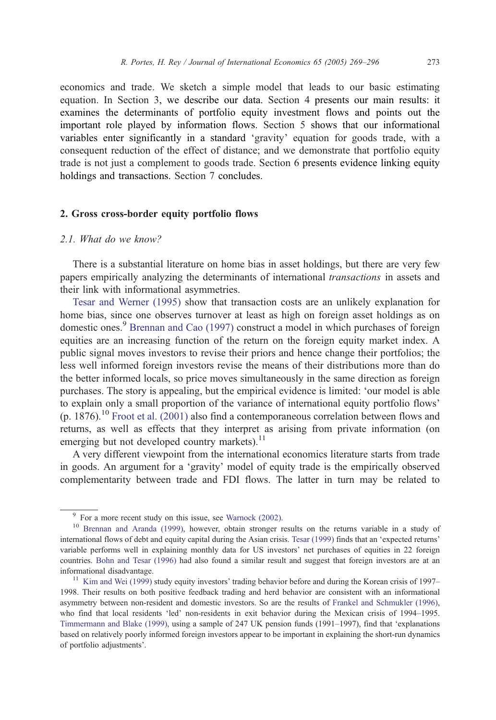economics and trade. We sketch a simple model that leads to our basic estimating equation. In Section 3, we describe our data. Section 4 presents our main results: it examines the determinants of portfolio equity investment flows and points out the important role played by information flows. Section 5 shows that our informational variables enter significantly in a standard 'gravity' equation for goods trade, with a consequent reduction of the effect of distance; and we demonstrate that portfolio equity trade is not just a complement to goods trade. Section 6 presents evidence linking equity holdings and transactions. Section 7 concludes.

# 2. Gross cross-border equity portfolio flows

## 2.1. What do we know?

There is a substantial literature on home bias in asset holdings, but there are very few papers empirically analyzing the determinants of international transactions in assets and their link with informational asymmetries.

[Tesar and Werner \(1995\)](#page-26-0) show that transaction costs are an unlikely explanation for home bias, since one observes turnover at least as high on foreign asset holdings as on domestic ones.<sup>9</sup> [Brennan and Cao \(1997\)](#page-25-0) construct a model in which purchases of foreign equities are an increasing function of the return on the foreign equity market index. A public signal moves investors to revise their priors and hence change their portfolios; the less well informed foreign investors revise the means of their distributions more than do the better informed locals, so price moves simultaneously in the same direction as foreign purchases. The story is appealing, but the empirical evidence is limited: 'our model is able to explain only a small proportion of the variance of international equity portfolio flows'  $(p. 1876)$ .<sup>10</sup> [Froot et al. \(2001\)](#page-25-0) also find a contemporaneous correlation between flows and returns, as well as effects that they interpret as arising from private information (on emerging but not developed country markets).<sup>11</sup>

A very different viewpoint from the international economics literature starts from trade in goods. An argument for a 'gravity' model of equity trade is the empirically observed complementarity between trade and FDI flows. The latter in turn may be related to

<sup>9</sup> For a more recent study on this issue, see [Warnock \(2002\).](#page-27-0)

<sup>&</sup>lt;sup>10</sup> [Brennan and Aranda \(1999\),](#page-25-0) however, obtain stronger results on the returns variable in a study of international flows of debt and equity capital during the Asian crisis. [Tesar \(1999\)](#page-26-0) finds that an 'expected returns' variable performs well in explaining monthly data for US investors' net purchases of equities in 22 foreign countries. [Bohn and Tesar \(1996\)](#page-25-0) had also found a similar result and suggest that foreign investors are at an informational disadvantage.<br><sup>11</sup> [Kim and Wei \(1999\)](#page-26-0) study equity investors' trading behavior before and during the Korean crisis of 1997–

<sup>1998.</sup> Their results on both positive feedback trading and herd behavior are consistent with an informational asymmetry between non-resident and domestic investors. So are the results of [Frankel and Schmukler \(1996\),](#page-25-0) who find that local residents 'led' non-residents in exit behavior during the Mexican crisis of 1994–1995. [Timmermann and Blake \(1999\),](#page-27-0) using a sample of 247 UK pension funds (1991–1997), find that 'explanations based on relatively poorly informed foreign investors appear to be important in explaining the short-run dynamics of portfolio adjustments'.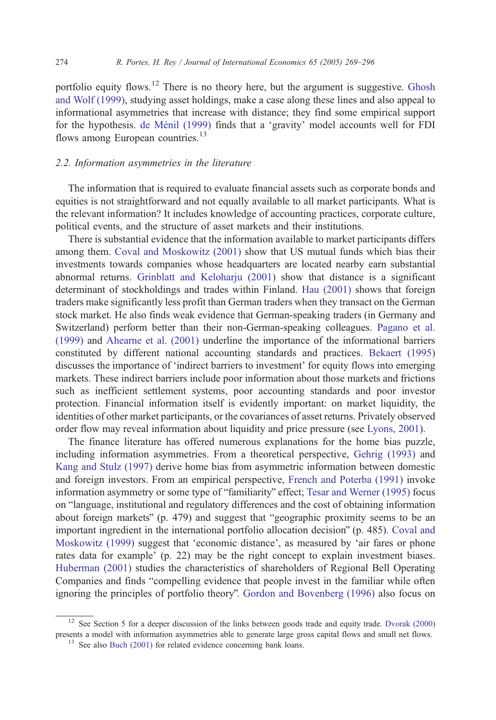portfolio equity flows.<sup>12</sup> There is no theory here, but the argument is suggestive. [Ghosh](#page-25-0) and Wolf (1999), studying asset holdings, make a case along these lines and also appeal to informational asymmetries that increase with distance; they find some empirical support for the hypothesis. de Ménil (1999) finds that a 'gravity' model accounts well for FDI flows among European countries.<sup>13</sup>

## 2.2. Information asymmetries in the literature

The information that is required to evaluate financial assets such as corporate bonds and equities is not straightforward and not equally available to all market participants. What is the relevant information? It includes knowledge of accounting practices, corporate culture, political events, and the structure of asset markets and their institutions.

There is substantial evidence that the information available to market participants differs among them. [Coval and Moskowitz \(2001\)](#page-25-0) show that US mutual funds which bias their investments towards companies whose headquarters are located nearby earn substantial abnormal returns. [Grinblatt and Keloharju \(2001\)](#page-25-0) show that distance is a significant determinant of stockholdings and trades within Finland. [Hau \(2001\)](#page-26-0) shows that foreign traders make significantly less profit than German traders when they transact on the German stock market. He also finds weak evidence that German-speaking traders (in Germany and Switzerland) perform better than their non-German-speaking colleagues. [Pagano et al.](#page-26-0) (1999) and [Ahearne et al. \(2001\)](#page-24-0) underline the importance of the informational barriers constituted by different national accounting standards and practices. [Bekaert \(1995\)](#page-25-0) discusses the importance of 'indirect barriers to investment' for equity flows into emerging markets. These indirect barriers include poor information about those markets and frictions such as inefficient settlement systems, poor accounting standards and poor investor protection. Financial information itself is evidently important: on market liquidity, the identities of other market participants, or the covariances of asset returns. Privately observed order flow may reveal information about liquidity and price pressure (see [Lyons, 2001\)](#page-26-0).

The finance literature has offered numerous explanations for the home bias puzzle, including information asymmetries. From a theoretical perspective, [Gehrig \(1993\)](#page-25-0) and [Kang and Stulz \(1997\)](#page-26-0) derive home bias from asymmetric information between domestic and foreign investors. From an empirical perspective, [French and Poterba \(1991\)](#page-25-0) invoke information asymmetry or some type of "familiarity" effect; [Tesar and Werner \(1995\)](#page-26-0) focus on "language, institutional and regulatory differences and the cost of obtaining information about foreign markets"  $(p. 479)$  and suggest that "geographic proximity seems to be an important ingredient in the international portfolio allocation decision" (p. 485). [Coval and](#page-25-0) Moskowitz (1999) suggest that 'economic distance', as measured by 'air fares or phone rates data for example'  $(p. 22)$  may be the right concept to explain investment biases. [Huberman \(2001\)](#page-26-0) studies the characteristics of shareholders of Regional Bell Operating Companies and finds "compelling evidence that people invest in the familiar while often ignoring the principles of portfolio theory". [Gordon and Bovenberg \(1996\)](#page-25-0) also focus on

<sup>&</sup>lt;sup>12</sup> See Section 5 for a deeper discussion of the links between goods trade and equity trade. [Dvorak \(2000\)](#page-25-0) presents a model with information asymmetries able to generate large gross capital flows and small net flows.<br><sup>13</sup> See also [Buch \(2001\)](#page-25-0) for related evidence concerning bank loans.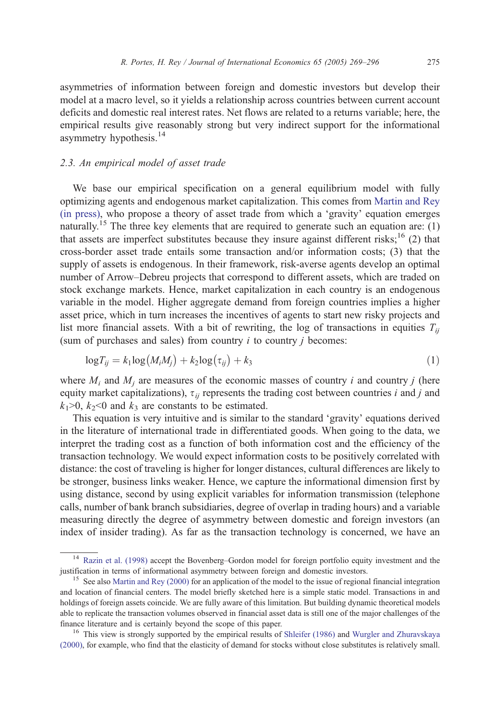asymmetries of information between foreign and domestic investors but develop their model at a macro level, so it yields a relationship across countries between current account deficits and domestic real interest rates. Net flows are related to a returns variable; here, the empirical results give reasonably strong but very indirect support for the informational asymmetry hypothesis.<sup>14</sup>

## 2.3. An empirical model of asset trade

We base our empirical specification on a general equilibrium model with fully optimizing agents and endogenous market capitalization. This comes from [Martin and Rey](#page-26-0)  $(in$  press), who propose a theory of asset trade from which a 'gravity' equation emerges naturally.<sup>15</sup> The three key elements that are required to generate such an equation are:  $(1)$ that assets are imperfect substitutes because they insure against different risks;<sup>16</sup> (2) that cross-border asset trade entails some transaction and/or information costs; (3) that the supply of assets is endogenous. In their framework, risk-averse agents develop an optimal number of Arrow–Debreu projects that correspond to different assets, which are traded on stock exchange markets. Hence, market capitalization in each country is an endogenous variable in the model. Higher aggregate demand from foreign countries implies a higher asset price, which in turn increases the incentives of agents to start new risky projects and list more financial assets. With a bit of rewriting, the log of transactions in equities  $T_{ii}$ (sum of purchases and sales) from country  $i$  to country  $j$  becomes:

$$
\log T_{ij} = k_1 \log(M_i M_j) + k_2 \log(\tau_{ij}) + k_3 \tag{1}
$$

where  $M_i$  and  $M_j$  are measures of the economic masses of country i and country j (here equity market capitalizations),  $\tau_{ij}$  represents the trading cost between countries i and j and  $k_1>0$ ,  $k_2<0$  and  $k_3$  are constants to be estimated.

This equation is very intuitive and is similar to the standard 'gravity' equations derived in the literature of international trade in differentiated goods. When going to the data, we interpret the trading cost as a function of both information cost and the efficiency of the transaction technology. We would expect information costs to be positively correlated with distance: the cost of traveling is higher for longer distances, cultural differences are likely to be stronger, business links weaker. Hence, we capture the informational dimension first by using distance, second by using explicit variables for information transmission (telephone calls, number of bank branch subsidiaries, degree of overlap in trading hours) and a variable measuring directly the degree of asymmetry between domestic and foreign investors (an index of insider trading). As far as the transaction technology is concerned, we have an

<sup>&</sup>lt;sup>14</sup> [Razin et al. \(1998\)](#page-26-0) accept the Bovenberg–Gordon model for foreign portfolio equity investment and the justification in terms of informational asymmetry between foreign and domestic investors.<br><sup>15</sup> See also [Martin and Rey \(2000\)](#page-26-0) for an application of the model to the issue of regional financial integration

and location of financial centers. The model briefly sketched here is a simple static model. Transactions in and holdings of foreign assets coincide. We are fully aware of this limitation. But building dynamic theoretical models able to replicate the transaction volumes observed in financial asset data is still one of the major challenges of the finance literature and is certainly beyond the scope of this paper.

<sup>&</sup>lt;sup>16</sup> This view is strongly supported by the empirical results of [Shleifer \(1986\)](#page-26-0) and [Wurgler and Zhuravskaya](#page-27-0) (2000), for example, who find that the elasticity of demand for stocks without close substitutes is relatively small.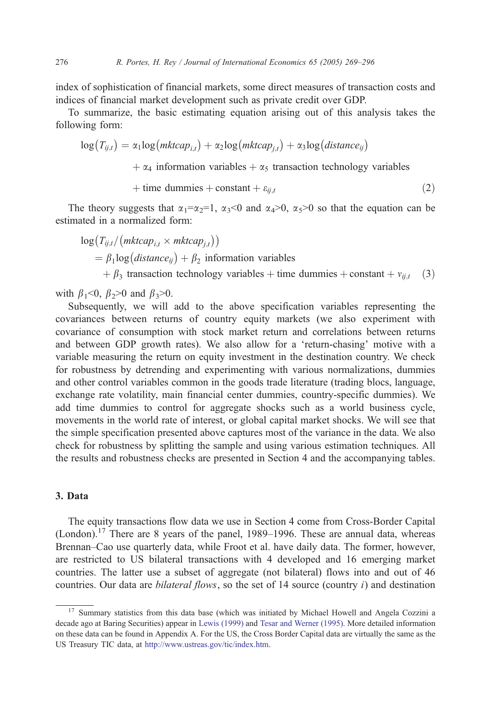index of sophistication of financial markets, some direct measures of transaction costs and indices of financial market development such as private credit over GDP.

To summarize, the basic estimating equation arising out of this analysis takes the following form:

$$
log(T_{ij,t}) = \alpha_1 log(mktcap_{i,t}) + \alpha_2 log(mktcap_{j,t}) + \alpha_3 log(distance_{ij}) + \alpha_4 information variables + \alpha_5 transmission technology variables + time dummies + constant + \varepsilon_{ij,t}
$$
\n(2)

The theory suggests that  $\alpha_1 = \alpha_2 = 1$ ,  $\alpha_3 < 0$  and  $\alpha_4 > 0$ ,  $\alpha_5 > 0$  so that the equation can be estimated in a normalized form:

$$
log(T_{ij,t}/(mktcap_{i,t} \times mktcap_{j,t}))
$$
  
=  $\beta_1 log(distance_{ij}) + \beta_2$  information variables  
+  $\beta_3$  transaction technology variables + time dummies + constant +  $v_{ij,t}$  (3)

with  $\beta_1<0$ ,  $\beta_2>0$  and  $\beta_3>0$ .

Subsequently, we will add to the above specification variables representing the covariances between returns of country equity markets (we also experiment with covariance of consumption with stock market return and correlations between returns and between GDP growth rates). We also allow for a 'return-chasing' motive with a variable measuring the return on equity investment in the destination country. We check for robustness by detrending and experimenting with various normalizations, dummies and other control variables common in the goods trade literature (trading blocs, language, exchange rate volatility, main financial center dummies, country-specific dummies). We add time dummies to control for aggregate shocks such as a world business cycle, movements in the world rate of interest, or global capital market shocks. We will see that the simple specification presented above captures most of the variance in the data. We also check for robustness by splitting the sample and using various estimation techniques. All the results and robustness checks are presented in Section 4 and the accompanying tables.

# 3. Data

The equity transactions flow data we use in Section 4 come from Cross-Border Capital (London).<sup>17</sup> There are 8 years of the panel, 1989–1996. These are annual data, whereas Brennan–Cao use quarterly data, while Froot et al. have daily data. The former, however, are restricted to US bilateral transactions with 4 developed and 16 emerging market countries. The latter use a subset of aggregate (not bilateral) flows into and out of 46 countries. Our data are *bilateral flows*, so the set of 14 source (country  $i$ ) and destination

<sup>&</sup>lt;sup>17</sup> Summary statistics from this data base (which was initiated by Michael Howell and Angela Cozzini a decade ago at Baring Securities) appear in [Lewis \(1999\)](#page-26-0) and [Tesar and Werner \(1995\).](#page-26-0) More detailed information on these data can be found in Appendix A. For the US, the Cross Border Capital data are virtually the same as the US Treasury TIC data, at [http://www.ustreas.gov/tic/index.htm.](http://www.ustreas.gov/tic/index.htm)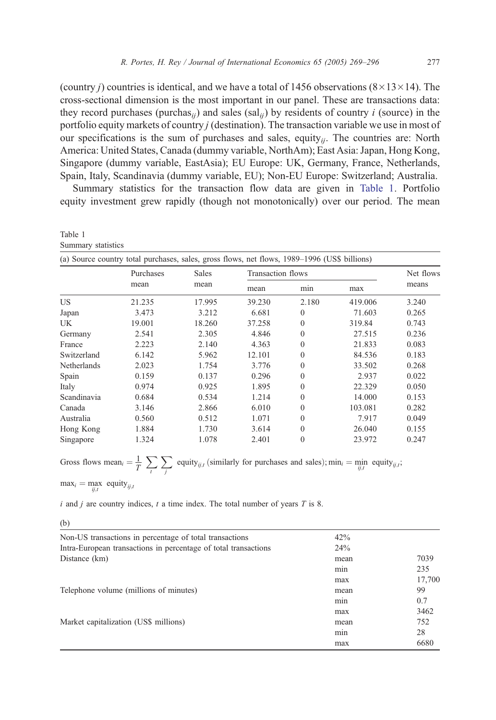(country *j*) countries is identical, and we have a total of 1456 observations  $(8\times13\times14)$ . The cross-sectional dimension is the most important in our panel. These are transactions data: they record purchases (purchas<sub>ii</sub>) and sales (sal<sub>ii</sub>) by residents of country i (source) in the portfolio equity markets of country  $j$  (destination). The transaction variable we use in most of our specifications is the sum of purchases and sales, equity<sub>ij</sub>. The countries are: North America: United States, Canada (dummy variable, NorthAm); East Asia: Japan, Hong Kong, Singapore (dummy variable, EastAsia); EU Europe: UK, Germany, France, Netherlands, Spain, Italy, Scandinavia (dummy variable, EU); Non-EU Europe: Switzerland; Australia.

Summary statistics for the transaction flow data are given in Table 1. Portfolio equity investment grew rapidly (though not monotonically) over our period. The mean

| Table 1            |  |
|--------------------|--|
| Summary statistics |  |

| (a) Source country total purchases, sales, gross flows, net flows, 1989–1996 (US\$ billions) |           |              |                   |              |         |       |  |  |
|----------------------------------------------------------------------------------------------|-----------|--------------|-------------------|--------------|---------|-------|--|--|
|                                                                                              | Purchases | <b>Sales</b> | Transaction flows | Net flows    |         |       |  |  |
|                                                                                              | mean      | mean         | mean              | min          | max     | means |  |  |
| US                                                                                           | 21.235    | 17.995       | 39.230            | 2.180        | 419.006 | 3.240 |  |  |
| Japan                                                                                        | 3.473     | 3.212        | 6.681             | $\theta$     | 71.603  | 0.265 |  |  |
| UK.                                                                                          | 19.001    | 18.260       | 37.258            | $\mathbf{0}$ | 319.84  | 0.743 |  |  |
| Germany                                                                                      | 2.541     | 2.305        | 4.846             | $\mathbf{0}$ | 27.515  | 0.236 |  |  |
| France                                                                                       | 2.223     | 2.140        | 4.363             | $\mathbf{0}$ | 21.833  | 0.083 |  |  |
| Switzerland                                                                                  | 6.142     | 5.962        | 12.101            | $\mathbf{0}$ | 84.536  | 0.183 |  |  |
| <b>Netherlands</b>                                                                           | 2.023     | 1.754        | 3.776             | $\theta$     | 33.502  | 0.268 |  |  |
| Spain                                                                                        | 0.159     | 0.137        | 0.296             | $\theta$     | 2.937   | 0.022 |  |  |
| Italy                                                                                        | 0.974     | 0.925        | 1.895             | $\theta$     | 22.329  | 0.050 |  |  |
| Scandinavia                                                                                  | 0.684     | 0.534        | 1.214             | $\Omega$     | 14.000  | 0.153 |  |  |
| Canada                                                                                       | 3.146     | 2.866        | 6.010             | $\mathbf{0}$ | 103.081 | 0.282 |  |  |
| Australia                                                                                    | 0.560     | 0.512        | 1.071             | $\Omega$     | 7.917   | 0.049 |  |  |
| Hong Kong                                                                                    | 1.884     | 1.730        | 3.614             | $\Omega$     | 26.040  | 0.155 |  |  |
| Singapore                                                                                    | 1.324     | 1.078        | 2.401             | $\theta$     | 23.972  | 0.247 |  |  |

Gross flows mean<sub>i</sub> =  $\frac{1}{T}$  $\overline{ }$ t  $\overline{ }$ equity<sub>ij,t</sub> (similarly for purchases and sales);  $\min_i = \min_{ij,t}$  equity<sub>ij,t</sub>;

 $\max_i = \max_{ij,t}$  equity<sub>ij,t</sub>

(b)

 $i$  and  $j$  are country indices,  $t$  a time index. The total number of years  $T$  is 8.

| Non-US transactions in percentage of total transactions         | 42%  |        |
|-----------------------------------------------------------------|------|--------|
| Intra-European transactions in percentage of total transactions | 24%  |        |
| Distance (km)                                                   | mean | 7039   |
|                                                                 | min  | 235    |
|                                                                 | max  | 17,700 |
| Telephone volume (millions of minutes)                          | mean | 99     |
|                                                                 | min  | 0.7    |
|                                                                 | max  | 3462   |
| Market capitalization (US\$ millions)                           | mean | 752    |
|                                                                 | min  | 28     |
|                                                                 | max  | 6680   |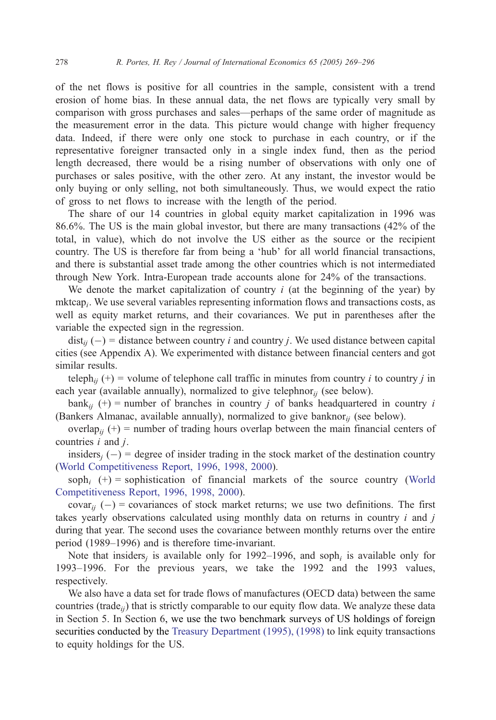of the net flows is positive for all countries in the sample, consistent with a trend erosion of home bias. In these annual data, the net flows are typically very small by comparison with gross purchases and sales—perhaps of the same order of magnitude as the measurement error in the data. This picture would change with higher frequency data. Indeed, if there were only one stock to purchase in each country, or if the representative foreigner transacted only in a single index fund, then as the period length decreased, there would be a rising number of observations with only one of purchases or sales positive, with the other zero. At any instant, the investor would be only buying or only selling, not both simultaneously. Thus, we would expect the ratio of gross to net flows to increase with the length of the period.

The share of our 14 countries in global equity market capitalization in 1996 was 86.6%. The US is the main global investor, but there are many transactions (42% of the total, in value), which do not involve the US either as the source or the recipient country. The US is therefore far from being a 'hub' for all world financial transactions, and there is substantial asset trade among the other countries which is not intermediated through New York. Intra-European trade accounts alone for 24% of the transactions.

We denote the market capitalization of country  $i$  (at the beginning of the year) by  $m$ ktcap<sub>i</sub>. We use several variables representing information flows and transactions costs, as well as equity market returns, and their covariances. We put in parentheses after the variable the expected sign in the regression.

 $dist_{ii} (-)$  = distance between country *i* and country *j*. We used distance between capital cities (see Appendix A). We experimented with distance between financial centers and got similar results.

teleph<sub>ij</sub> (+) = volume of telephone call traffic in minutes from country *i* to country *i* in each year (available annually), normalized to give telephnor<sub>ij</sub> (see below).

bank<sub>ij</sub> (+) = number of branches in country j of banks headquartered in country i (Bankers Almanac, available annually), normalized to give banknor $_{ii}$  (see below).

overlap<sub>ii</sub> (+) = number of trading hours overlap between the main financial centers of countries  $i$  and  $j$ .

insiders<sub>i</sub> (-) = degree of insider trading in the stock market of the destination country ([World Competitiveness Report, 1996, 1998, 2000\)](#page-27-0).

soph<sub>i</sub>  $(+)$  = sophistication of financial markets of the source country ([World](#page-27-0) Competitiveness Report, 1996, 1998, 2000).

covar<sub>ij</sub>  $(-)$  = covariances of stock market returns; we use two definitions. The first takes yearly observations calculated using monthly data on returns in country  $i$  and  $j$ during that year. The second uses the covariance between monthly returns over the entire period (1989–1996) and is therefore time-invariant.

Note that insiders, is available only for 1992–1996, and soph, is available only for 1993–1996. For the previous years, we take the 1992 and the 1993 values, respectively.

We also have a data set for trade flows of manufactures (OECD data) between the same countries (trade<sub>ii</sub>) that is strictly comparable to our equity flow data. We analyze these data in Section 5. In Section 6, we use the two benchmark surveys of US holdings of foreign securities conducted by the [Treasury Department \(1995\), \(1998\)](#page-27-0) to link equity transactions to equity holdings for the US.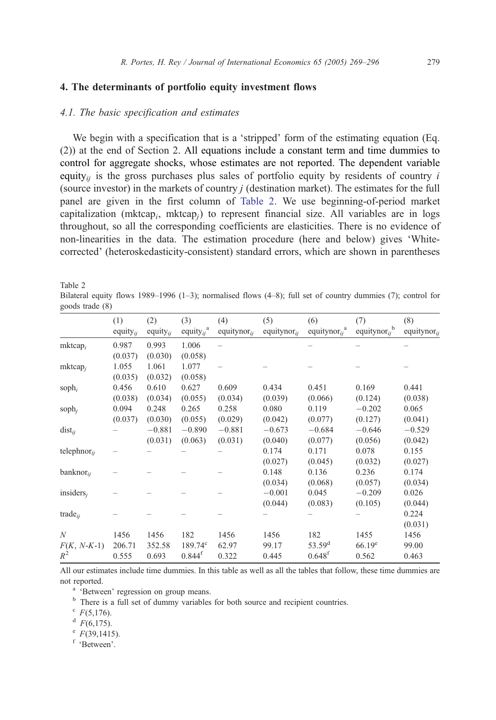# <span id="page-10-0"></span>4. The determinants of portfolio equity investment flows

## 4.1. The basic specification and estimates

We begin with a specification that is a 'stripped' form of the estimating equation (Eq. (2)) at the end of Section 2. All equations include a constant term and time dummies to control for aggregate shocks, whose estimates are not reported. The dependent variable equity<sub>ij</sub> is the gross purchases plus sales of portfolio equity by residents of country i (source investor) in the markets of country j (destination market). The estimates for the full panel are given in the first column of Table 2. We use beginning-of-period market capitalization (mktcap<sub>i</sub>, mktcap<sub>i</sub>) to represent financial size. All variables are in logs throughout, so all the corresponding coefficients are elasticities. There is no evidence of non-linearities in the data. The estimation procedure (here and below) gives 'Whitecorrected' (heteroskedasticity-consistent) standard errors, which are shown in parentheses

Table 2

Bilateral equity flows 1989–1996 (1–3); normalised flows  $(4-8)$ ; full set of country dummies (7); control for goods trade (8)

|                        | (1)<br>equity $_{ii}$ | (2)<br>equity $_{ij}$ | (3)<br>equity <sub>ii</sub> <sup>a</sup> | (4)<br>equity nor $_{ii}$ | (5)<br>equitynor $_{ii}$ | (6)<br>equitynor $_{ii}$ <sup>a</sup> | (7)<br>equity nor $_{ii}$ <sup>b</sup> | (8)<br>equity nor $_{ii}$ |
|------------------------|-----------------------|-----------------------|------------------------------------------|---------------------------|--------------------------|---------------------------------------|----------------------------------------|---------------------------|
| $m$ ktcap,             | 0.987                 | 0.993                 | 1.006                                    |                           |                          |                                       |                                        |                           |
|                        | (0.037)               | (0.030)               | (0.058)                                  |                           |                          |                                       |                                        |                           |
| $m$ ktcap <sub>i</sub> | 1.055                 | 1.061                 | 1.077                                    |                           |                          |                                       |                                        |                           |
|                        | (0.035)               | (0.032)               | (0.058)                                  |                           |                          |                                       |                                        |                           |
| soph <sub>i</sub>      | 0.456                 | 0.610                 | 0.627                                    | 0.609                     | 0.434                    | 0.451                                 | 0.169                                  | 0.441                     |
|                        | (0.038)               | (0.034)               | (0.055)                                  | (0.034)                   | (0.039)                  | (0.066)                               | (0.124)                                | (0.038)                   |
| soph <sub>j</sub>      | 0.094                 | 0.248                 | 0.265                                    | 0.258                     | 0.080                    | 0.119                                 | $-0.202$                               | 0.065                     |
|                        | (0.037)               | (0.030)               | (0.055)                                  | (0.029)                   | (0.042)                  | (0.077)                               | (0.127)                                | (0.041)                   |
| $dist_{ii}$            |                       | $-0.881$              | $-0.890$                                 | $-0.881$                  | $-0.673$                 | $-0.684$                              | $-0.646$                               | $-0.529$                  |
|                        |                       | (0.031)               | (0.063)                                  | (0.031)                   | (0.040)                  | (0.077)                               | (0.056)                                | (0.042)                   |
| telephnor $_{ii}$      |                       |                       |                                          |                           | 0.174                    | 0.171                                 | 0.078                                  | 0.155                     |
|                        |                       |                       |                                          |                           | (0.027)                  | (0.045)                               | (0.032)                                | (0.027)                   |
| $banknor_{ii}$         |                       |                       |                                          |                           | 0.148                    | 0.136                                 | 0.236                                  | 0.174                     |
|                        |                       |                       |                                          |                           | (0.034)                  | (0.068)                               | (0.057)                                | (0.034)                   |
| insiders <sub>i</sub>  |                       |                       |                                          |                           | $-0.001$                 | 0.045                                 | $-0.209$                               | 0.026                     |
|                        |                       |                       |                                          |                           | (0.044)                  | (0.083)                               | (0.105)                                | (0.044)                   |
| trade $_{ii}$          |                       |                       |                                          |                           |                          |                                       |                                        | 0.224                     |
|                        |                       |                       |                                          |                           |                          |                                       |                                        | (0.031)                   |
| $\mathcal N$           | 1456                  | 1456                  | 182                                      | 1456                      | 1456                     | 182                                   | 1455                                   | 1456                      |
| $F(K, N-K-1)$          | 206.71                | 352.58                | $189.74^{\circ}$                         | 62.97                     | 99.17                    | $53.59$ <sup>d</sup>                  | $66.19^e$                              | 99.00                     |
| $R^2$                  | 0.555                 | 0.693                 | $0.844^t$                                | 0.322                     | 0.445                    | 0.648 <sup>f</sup>                    | 0.562                                  | 0.463                     |

All our estimates include time dummies. In this table as well as all the tables that follow, these time dummies are not reported.<br><sup>a</sup> 'Between' regression on group means.<br><sup>b</sup> There is a full set of dummy variables for both source and recipient countries.

<sup>c</sup>  $F(5,176)$ .<br>
<sup>d</sup>  $F(6,175)$ .<br>
e  $F(39,1415)$ .

 $f$  'Retween'.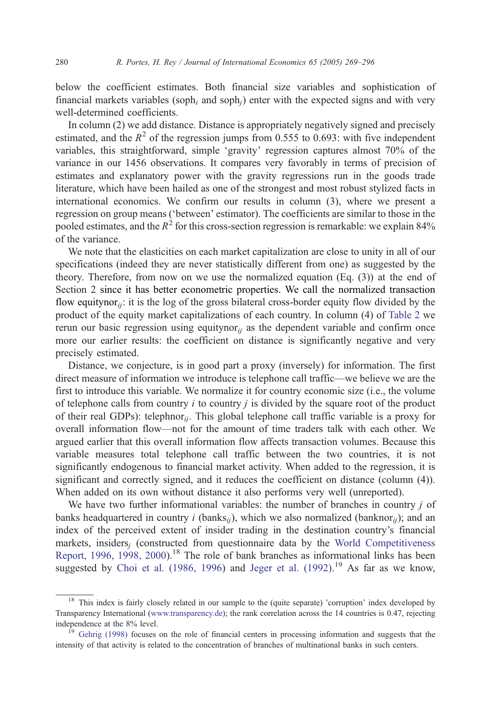below the coefficient estimates. Both financial size variables and sophistication of financial markets variables (soph<sub>i</sub> and soph<sub>i</sub>) enter with the expected signs and with very well-determined coefficients.

In column (2) we add distance. Distance is appropriately negatively signed and precisely estimated, and the  $R^2$  of the regression jumps from 0.555 to 0.693: with five independent variables, this straightforward, simple 'gravity' regression captures almost  $70\%$  of the variance in our 1456 observations. It compares very favorably in terms of precision of estimates and explanatory power with the gravity regressions run in the goods trade literature, which have been hailed as one of the strongest and most robust stylized facts in international economics. We confirm our results in column (3), where we present a regression on group means ('between' estimator). The coefficients are similar to those in the pooled estimates, and the  $R^2$  for this cross-section regression is remarkable: we explain 84% of the variance.

We note that the elasticities on each market capitalization are close to unity in all of our specifications (indeed they are never statistically different from one) as suggested by the theory. Therefore, from now on we use the normalized equation (Eq. (3)) at the end of Section 2 since it has better econometric properties. We call the normalized transaction flow equitynor<sub>ii</sub>: it is the log of the gross bilateral cross-border equity flow divided by the product of the equity market capitalizations of each country. In column (4) of [Table 2](#page-10-0) we rerun our basic regression using equitynor $\eta_i$  as the dependent variable and confirm once more our earlier results: the coefficient on distance is significantly negative and very precisely estimated.

Distance, we conjecture, is in good part a proxy (inversely) for information. The first direct measure of information we introduce is telephone call traffic—we believe we are the first to introduce this variable. We normalize it for country economic size (i.e., the volume of telephone calls from country  $i$  to country  $j$  is divided by the square root of the product of their real GDPs): telephnor<sub>ij</sub>. This global telephone call traffic variable is a proxy for overall information flow—not for the amount of time traders talk with each other. We argued earlier that this overall information flow affects transaction volumes. Because this variable measures total telephone call traffic between the two countries, it is not significantly endogenous to financial market activity. When added to the regression, it is significant and correctly signed, and it reduces the coefficient on distance (column (4)). When added on its own without distance it also performs very well (unreported).

We have two further informational variables: the number of branches in country  $\dot{j}$  of banks headquartered in country i (banks<sub>ii</sub>), which we also normalized (banknor<sub>ii</sub>); and an index of the perceived extent of insider trading in the destination country's financial markets, insiders $_i$  (constructed from questionnaire data by the [World Competitiveness](#page-27-0) Report, 1996, 1998, 2000).<sup>18</sup> The role of bank branches as informational links has been suggested by Choi et al.  $(1986, 1996)$  and Jeger et al.  $(1992)$ .<sup>19</sup> As far as we know,

<sup>&</sup>lt;sup>18</sup> This index is fairly closely related in our sample to the (quite separate) 'corruption' index developed by Transparency International ([www.transparency.de\)](http:www.transparency.de); the rank correlation across the 14 countries is 0.47, rejecting independence at the 8% level.

<sup>&</sup>lt;sup>19</sup> [Gehrig \(1998\)](#page-25-0) focuses on the role of financial centers in processing information and suggests that the intensity of that activity is related to the concentration of branches of multinational banks in such centers.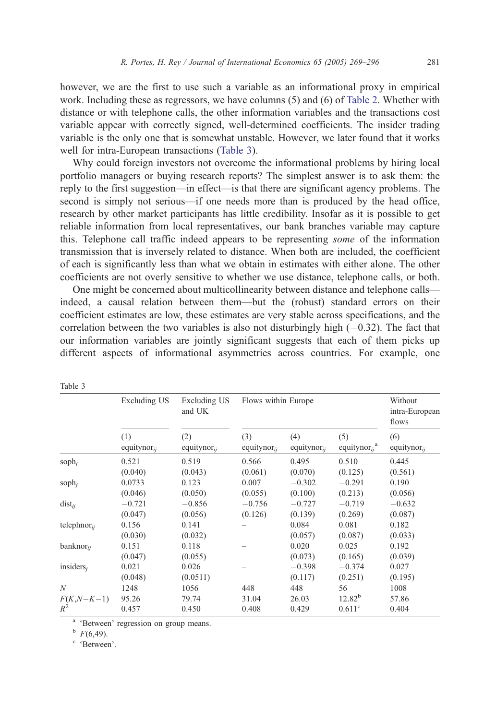<span id="page-12-0"></span>however, we are the first to use such a variable as an informational proxy in empirical work. Including these as regressors, we have columns (5) and (6) of [Table 2.](#page-10-0) Whether with distance or with telephone calls, the other information variables and the transactions cost variable appear with correctly signed, well-determined coefficients. The insider trading variable is the only one that is somewhat unstable. However, we later found that it works well for intra-European transactions (Table 3).

Why could foreign investors not overcome the informational problems by hiring local portfolio managers or buying research reports? The simplest answer is to ask them: the reply to the first suggestion—in effect—is that there are significant agency problems. The second is simply not serious—if one needs more than is produced by the head office, research by other market participants has little credibility. Insofar as it is possible to get reliable information from local representatives, our bank branches variable may capture this. Telephone call traffic indeed appears to be representing some of the information transmission that is inversely related to distance. When both are included, the coefficient of each is significantly less than what we obtain in estimates with either alone. The other coefficients are not overly sensitive to whether we use distance, telephone calls, or both.

One might be concerned about multicollinearity between distance and telephone calls indeed, a causal relation between them—but the (robust) standard errors on their coefficient estimates are low, these estimates are very stable across specifications, and the correlation between the two variables is also not disturbingly high  $(-0.32)$ . The fact that our information variables are jointly significant suggests that each of them picks up different aspects of informational asymmetries across countries. For example, one

|                   | Excluding US              | Excluding US<br>and UK    | Flows within Europe       | Without<br>intra-European<br>flows |                                        |                          |
|-------------------|---------------------------|---------------------------|---------------------------|------------------------------------|----------------------------------------|--------------------------|
|                   | (1)<br>equity nor $_{ii}$ | (2)<br>equity nor $_{ii}$ | (3)<br>equity nor $_{ii}$ | (4)<br>equity nor $_{ii}$          | (5)<br>equity nor $_{ii}$ <sup>a</sup> | (6)<br>equitynor $_{ii}$ |
| soph <sub>i</sub> | 0.521                     | 0.519                     | 0.566                     | 0.495                              | 0.510                                  | 0.445                    |
|                   | (0.040)                   | (0.043)                   | (0.061)                   | (0.070)                            | (0.125)                                | (0.561)                  |
| soph <sub>j</sub> | 0.0733                    | 0.123                     | 0.007                     | $-0.302$                           | $-0.291$                               | 0.190                    |
|                   | (0.046)                   | (0.050)                   | (0.055)                   | (0.100)                            | (0.213)                                | (0.056)                  |
| $dist_{ii}$       | $-0.721$                  | $-0.856$                  | $-0.756$                  | $-0.727$                           | $-0.719$                               | $-0.632$                 |
|                   | (0.047)                   | (0.056)                   | (0.126)                   | (0.139)                            | (0.269)                                | (0.087)                  |
| telephnor $_{ii}$ | 0.156                     | 0.141                     |                           | 0.084                              | 0.081                                  | 0.182                    |
|                   | (0.030)                   | (0.032)                   |                           | (0.057)                            | (0.087)                                | (0.033)                  |
| $banknor_{ii}$    | 0.151                     | 0.118                     |                           | 0.020                              | 0.025                                  | 0.192                    |
|                   | (0.047)                   | (0.055)                   |                           | (0.073)                            | (0.165)                                | (0.039)                  |
| insiders,         | 0.021                     | 0.026                     |                           | $-0.398$                           | $-0.374$                               | 0.027                    |
|                   | (0.048)                   | (0.0511)                  |                           | (0.117)                            | (0.251)                                | (0.195)                  |
| N                 | 1248                      | 1056                      | 448                       | 448                                | 56                                     | 1008                     |
| $F(K,N-K-1)$      | 95.26                     | 79.74                     | 31.04                     | 26.03                              | $12.82^{b}$                            | 57.86                    |
| $R^2$             | 0.457                     | 0.450                     | 0.408                     | 0.429                              | $0.611$ <sup>c</sup>                   | 0.404                    |

Table 3

<sup>a</sup> 'Between' regression on group means.<br>
<sup>b</sup>  $F(6.49)$ .

<sup>c</sup> 'Retween'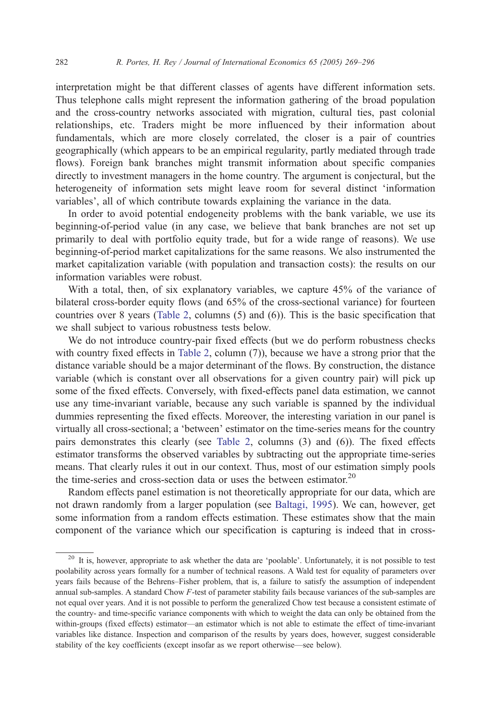interpretation might be that different classes of agents have different information sets. Thus telephone calls might represent the information gathering of the broad population and the cross-country networks associated with migration, cultural ties, past colonial relationships, etc. Traders might be more influenced by their information about fundamentals, which are more closely correlated, the closer is a pair of countries geographically (which appears to be an empirical regularity, partly mediated through trade flows). Foreign bank branches might transmit information about specific companies directly to investment managers in the home country. The argument is conjectural, but the heterogeneity of information sets might leave room for several distinct 'information variables', all of which contribute towards explaining the variance in the data.

In order to avoid potential endogeneity problems with the bank variable, we use its beginning-of-period value (in any case, we believe that bank branches are not set up primarily to deal with portfolio equity trade, but for a wide range of reasons). We use beginning-of-period market capitalizations for the same reasons. We also instrumented the market capitalization variable (with population and transaction costs): the results on our information variables were robust.

With a total, then, of six explanatory variables, we capture 45% of the variance of bilateral cross-border equity flows (and 65% of the cross-sectional variance) for fourteen countries over 8 years ([Table 2,](#page-10-0) columns (5) and (6)). This is the basic specification that we shall subject to various robustness tests below.

We do not introduce country-pair fixed effects (but we do perform robustness checks with country fixed effects in [Table 2,](#page-10-0) column (7)), because we have a strong prior that the distance variable should be a major determinant of the flows. By construction, the distance variable (which is constant over all observations for a given country pair) will pick up some of the fixed effects. Conversely, with fixed-effects panel data estimation, we cannot use any time-invariant variable, because any such variable is spanned by the individual dummies representing the fixed effects. Moreover, the interesting variation in our panel is virtually all cross-sectional; a 'between' estimator on the time-series means for the country pairs demonstrates this clearly (see [Table 2,](#page-10-0) columns (3) and (6)). The fixed effects estimator transforms the observed variables by subtracting out the appropriate time-series means. That clearly rules it out in our context. Thus, most of our estimation simply pools the time-series and cross-section data or uses the between estimator. $2<sup>0</sup>$ 

Random effects panel estimation is not theoretically appropriate for our data, which are not drawn randomly from a larger population (see [Baltagi, 1995\)](#page-25-0). We can, however, get some information from a random effects estimation. These estimates show that the main component of the variance which our specification is capturing is indeed that in cross-

<sup>&</sup>lt;sup>20</sup> It is, however, appropriate to ask whether the data are 'poolable'. Unfortunately, it is not possible to test poolability across years formally for a number of technical reasons. A Wald test for equality of parameters over years fails because of the Behrens–Fisher problem, that is, a failure to satisfy the assumption of independent annual sub-samples. A standard Chow F-test of parameter stability fails because variances of the sub-samples are not equal over years. And it is not possible to perform the generalized Chow test because a consistent estimate of the country- and time-specific variance components with which to weight the data can only be obtained from the within-groups (fixed effects) estimator—an estimator which is not able to estimate the effect of time-invariant variables like distance. Inspection and comparison of the results by years does, however, suggest considerable stability of the key coefficients (except insofar as we report otherwise—see below).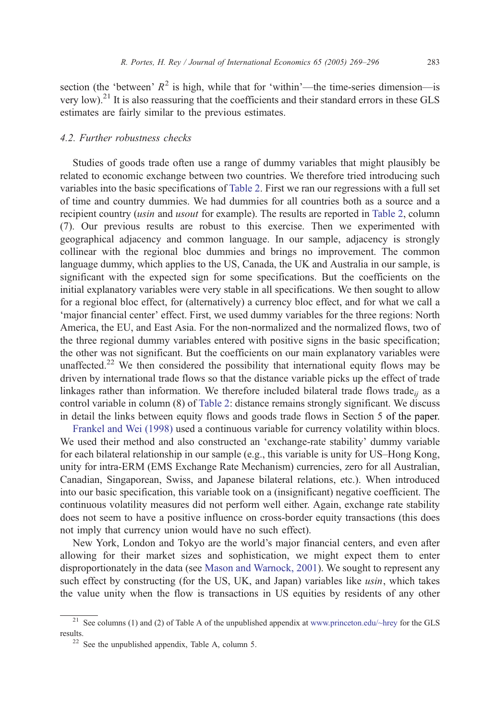section (the 'between'  $R^2$  is high, while that for 'within'—the time-series dimension—is very low).<sup>21</sup> It is also reassuring that the coefficients and their standard errors in these GLS estimates are fairly similar to the previous estimates.

# 4.2. Further robustness checks

Studies of goods trade often use a range of dummy variables that might plausibly be related to economic exchange between two countries. We therefore tried introducing such variables into the basic specifications of [Table 2.](#page-10-0) First we ran our regressions with a full set of time and country dummies. We had dummies for all countries both as a source and a recipient country (usin and usout for example). The results are reported in [Table 2,](#page-10-0) column (7). Our previous results are robust to this exercise. Then we experimented with geographical adjacency and common language. In our sample, adjacency is strongly collinear with the regional bloc dummies and brings no improvement. The common language dummy, which applies to the US, Canada, the UK and Australia in our sample, is significant with the expected sign for some specifications. But the coefficients on the initial explanatory variables were very stable in all specifications. We then sought to allow for a regional bloc effect, for (alternatively) a currency bloc effect, and for what we call a demation financial center' effect. First, we used dummy variables for the three regions: North America, the EU, and East Asia. For the non-normalized and the normalized flows, two of the three regional dummy variables entered with positive signs in the basic specification; the other was not significant. But the coefficients on our main explanatory variables were unaffected.<sup>22</sup> We then considered the possibility that international equity flows may be driven by international trade flows so that the distance variable picks up the effect of trade linkages rather than information. We therefore included bilateral trade flows trade<sub>ij</sub> as a control variable in column (8) of [Table 2:](#page-10-0) distance remains strongly significant. We discuss in detail the links between equity flows and goods trade flows in Section 5 of the paper.

[Frankel and Wei \(1998\)](#page-25-0) used a continuous variable for currency volatility within blocs. We used their method and also constructed an 'exchange-rate stability' dummy variable for each bilateral relationship in our sample (e.g., this variable is unity for US–Hong Kong, unity for intra-ERM (EMS Exchange Rate Mechanism) currencies, zero for all Australian, Canadian, Singaporean, Swiss, and Japanese bilateral relations, etc.). When introduced into our basic specification, this variable took on a (insignificant) negative coefficient. The continuous volatility measures did not perform well either. Again, exchange rate stability does not seem to have a positive influence on cross-border equity transactions (this does not imply that currency union would have no such effect).

New York, London and Tokyo are the world's major financial centers, and even after allowing for their market sizes and sophistication, we might expect them to enter disproportionately in the data (see [Mason and Warnock, 2001\)](#page-26-0). We sought to represent any such effect by constructing (for the US, UK, and Japan) variables like *usin*, which takes the value unity when the flow is transactions in US equities by residents of any other

<sup>&</sup>lt;sup>21</sup> See columns (1) and (2) of Table A of the unpublished appendix at [www.princeton.edu/~hrey](http://www.princeton.edu/~hrey) for the GLS results.

 $22$  See the unpublished appendix, Table A, column 5.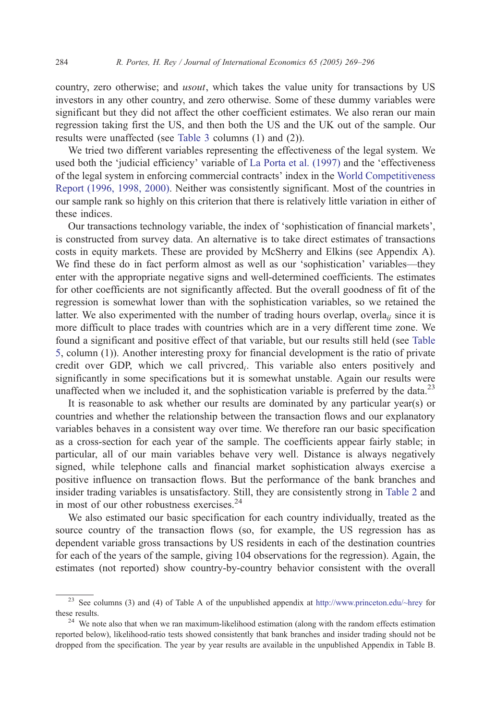country, zero otherwise; and *usout*, which takes the value unity for transactions by US investors in any other country, and zero otherwise. Some of these dummy variables were significant but they did not affect the other coefficient estimates. We also reran our main regression taking first the US, and then both the US and the UK out of the sample. Our results were unaffected (see [Table 3](#page-12-0) columns (1) and (2)).

We tried two different variables representing the effectiveness of the legal system. We used both the 'judicial efficiency' variable of [La Porta et al. \(1997\)](#page-26-0) and the 'effectiveness of the legal system in enforcing commercial contracts' index in the [World Competitiveness](#page-27-0) Report (1996, 1998, 2000). Neither was consistently significant. Most of the countries in our sample rank so highly on this criterion that there is relatively little variation in either of these indices.

Our transactions technology variable, the index of 'sophistication of financial markets', is constructed from survey data. An alternative is to take direct estimates of transactions costs in equity markets. These are provided by McSherry and Elkins (see Appendix A). We find these do in fact perform almost as well as our 'sophistication' variables—they enter with the appropriate negative signs and well-determined coefficients. The estimates for other coefficients are not significantly affected. But the overall goodness of fit of the regression is somewhat lower than with the sophistication variables, so we retained the latter. We also experimented with the number of trading hours overlap, overla<sub>ij</sub> since it is more difficult to place trades with countries which are in a very different time zone. We found a significant and positive effect of that variable, but our results still held (see [Table](#page-18-0) 5, column (1)). Another interesting proxy for financial development is the ratio of private credit over GDP, which we call privcred<sub>i</sub>. This variable also enters positively and significantly in some specifications but it is somewhat unstable. Again our results were unaffected when we included it, and the sophistication variable is preferred by the data.<sup>23</sup>

It is reasonable to ask whether our results are dominated by any particular year(s) or countries and whether the relationship between the transaction flows and our explanatory variables behaves in a consistent way over time. We therefore ran our basic specification as a cross-section for each year of the sample. The coefficients appear fairly stable; in particular, all of our main variables behave very well. Distance is always negatively signed, while telephone calls and financial market sophistication always exercise a positive influence on transaction flows. But the performance of the bank branches and insider trading variables is unsatisfactory. Still, they are consistently strong in [Table 2](#page-10-0) and in most of our other robustness exercises.<sup>24</sup>

We also estimated our basic specification for each country individually, treated as the source country of the transaction flows (so, for example, the US regression has as dependent variable gross transactions by US residents in each of the destination countries for each of the years of the sample, giving 104 observations for the regression). Again, the estimates (not reported) show country-by-country behavior consistent with the overall

<sup>23</sup> See columns (3) and (4) of Table A of the unpublished appendix at <http://www.princeton.edu/~hrey> for these results.<br><sup>24</sup> We note also that when we ran maximum-likelihood estimation (along with the random effects estimation

reported below), likelihood-ratio tests showed consistently that bank branches and insider trading should not be dropped from the specification. The year by year results are available in the unpublished Appendix in Table B.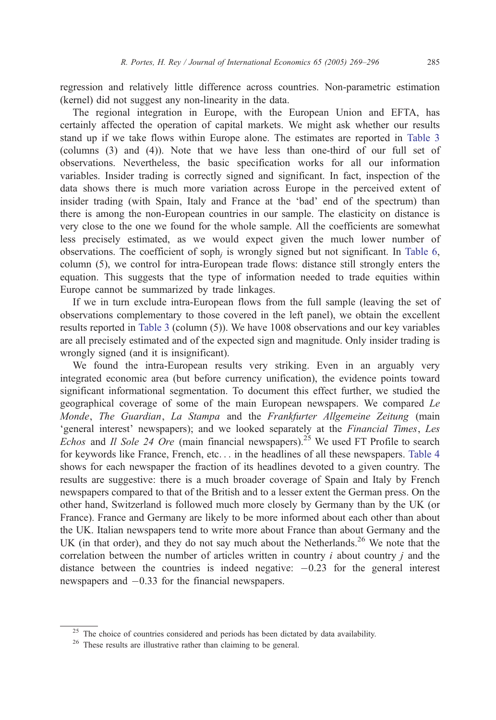regression and relatively little difference across countries. Non-parametric estimation (kernel) did not suggest any non-linearity in the data.

The regional integration in Europe, with the European Union and EFTA, has certainly affected the operation of capital markets. We might ask whether our results stand up if we take flows within Europe alone. The estimates are reported in [Table 3](#page-12-0) (columns (3) and (4)). Note that we have less than one-third of our full set of observations. Nevertheless, the basic specification works for all our information variables. Insider trading is correctly signed and significant. In fact, inspection of the data shows there is much more variation across Europe in the perceived extent of insider trading (with Spain, Italy and France at the 'bad' end of the spectrum) than there is among the non-European countries in our sample. The elasticity on distance is very close to the one we found for the whole sample. All the coefficients are somewhat less precisely estimated, as we would expect given the much lower number of observations. The coefficient of soph<sub>i</sub> is wrongly signed but not significant. In [Table 6,](#page-19-0) column (5), we control for intra-European trade flows: distance still strongly enters the equation. This suggests that the type of information needed to trade equities within Europe cannot be summarized by trade linkages.

If we in turn exclude intra-European flows from the full sample (leaving the set of observations complementary to those covered in the left panel), we obtain the excellent results reported in [Table 3](#page-12-0) (column (5)). We have 1008 observations and our key variables are all precisely estimated and of the expected sign and magnitude. Only insider trading is wrongly signed (and it is insignificant).

We found the intra-European results very striking. Even in an arguably very integrated economic area (but before currency unification), the evidence points toward significant informational segmentation. To document this effect further, we studied the geographical coverage of some of the main European newspapers. We compared Le Monde, The Guardian, La Stampa and the Frankfurter Allgemeine Zeitung (main 'general interest' newspapers); and we looked separately at the *Financial Times*, Les Echos and Il Sole 24 Ore (main financial newspapers).<sup>25</sup> We used FT Profile to search for keywords like France, French, etc... in the headlines of all these newspapers. [Table 4](#page-17-0) shows for each newspaper the fraction of its headlines devoted to a given country. The results are suggestive: there is a much broader coverage of Spain and Italy by French newspapers compared to that of the British and to a lesser extent the German press. On the other hand, Switzerland is followed much more closely by Germany than by the UK (or France). France and Germany are likely to be more informed about each other than about the UK. Italian newspapers tend to write more about France than about Germany and the UK (in that order), and they do not say much about the Netherlands.<sup>26</sup> We note that the correlation between the number of articles written in country  $i$  about country  $j$  and the distance between the countries is indeed negative:  $-0.23$  for the general interest newspapers and  $-0.33$  for the financial newspapers.

<sup>&</sup>lt;sup>25</sup> The choice of countries considered and periods has been dictated by data availability.

<sup>&</sup>lt;sup>26</sup> These results are illustrative rather than claiming to be general.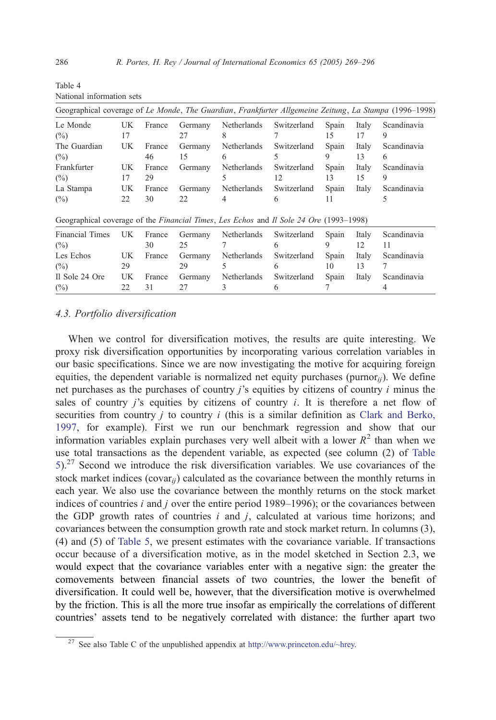<span id="page-17-0"></span>

| Table 4 |                           |  |
|---------|---------------------------|--|
|         | National information sets |  |

| Geographical coverage of Le Monde, The Guardian, Frankfurter Allgemeine Zeitung, La Stampa (1996–1998) |    |        |         |                    |             |       |       |             |
|--------------------------------------------------------------------------------------------------------|----|--------|---------|--------------------|-------------|-------|-------|-------------|
| Le Monde                                                                                               | UK | France | Germany | Netherlands        | Switzerland | Spain | Italy | Scandinavia |
| $\frac{6}{2}$                                                                                          | 17 |        | 27      | 8                  |             | 15    | 17    | 9           |
| The Guardian                                                                                           | UK | France | Germany | Netherlands        | Switzerland | Spain | Italy | Scandinavia |
| $\frac{6}{2}$                                                                                          |    | 46     | 15      | 6                  | 5           | 9     | 13    | 6           |
| Frankfurter                                                                                            | UK | France | Germany | <b>Netherlands</b> | Switzerland | Spain | Italy | Scandinavia |
| $\frac{6}{2}$                                                                                          | 17 | 29     |         | 5                  | 12          | 13    | 15    | 9           |
| La Stampa                                                                                              | UK | France | Germany | <b>Netherlands</b> | Switzerland | Spain | Italy | Scandinavia |
| $(\%)$                                                                                                 | 22 | 30     | 22      | 4                  | 6           | 11    |       | 5           |
| Geographical coverage of the Financial Times, Les Echos and Il Sole 24 Ore (1993–1998)                 |    |        |         |                    |             |       |       |             |
| <b>Financial Times</b>                                                                                 | UK | France | Germany | <b>Netherlands</b> | Switzerland | Spain | Italy | Scandinavia |
| $\frac{6}{2}$                                                                                          |    | 30     | 25      |                    | 6           | 9     | 12    | 11          |
| Les Echos                                                                                              | UK | France | Germany | Netherlands        | Switzerland | Spain | Italy | Scandinavia |

(%) 29 29 5 6 10 13 7 Il Sole 24 Ore UK France Germany Netherlands Switzerland Spain Italy Scandinavia

(%) 22 31 27 3 6 7 4

|  | 4.3. Portfolio diversification |  |
|--|--------------------------------|--|

When we control for diversification motives, the results are quite interesting. We proxy risk diversification opportunities by incorporating various correlation variables in our basic specifications. Since we are now investigating the motive for acquiring foreign equities, the dependent variable is normalized net equity purchases (purnor<sub>ii</sub>). We define net purchases as the purchases of country  $j$ 's equities by citizens of country  $i$  minus the sales of country  $j$ 's equities by citizens of country  $i$ . It is therefore a net flow of securities from country  $j$  to country  $i$  (this is a similar definition as [Clark and Berko,](#page-25-0) 1997, for example). First we run our benchmark regression and show that our information variables explain purchases very well albeit with a lower  $R^2$  than when we use total transactions as the dependent variable, as expected (see column (2) of [Table](#page-18-0)  $5)$ .<sup>27</sup> Second we introduce the risk diversification variables. We use covariances of the stock market indices  $(covar_{ii})$  calculated as the covariance between the monthly returns in each year. We also use the covariance between the monthly returns on the stock market indices of countries  $i$  and  $j$  over the entire period 1989–1996); or the covariances between the GDP growth rates of countries  $i$  and  $j$ , calculated at various time horizons; and covariances between the consumption growth rate and stock market return. In columns (3), (4) and (5) of [Table 5,](#page-18-0) we present estimates with the covariance variable. If transactions occur because of a diversification motive, as in the model sketched in Section 2.3, we would expect that the covariance variables enter with a negative sign: the greater the comovements between financial assets of two countries, the lower the benefit of diversification. It could well be, however, that the diversification motive is overwhelmed by the friction. This is all the more true insofar as empirically the correlations of different countries' assets tend to be negatively correlated with distance: the further apart two

<sup>&</sup>lt;sup>27</sup> See also Table C of the unpublished appendix at [http://www.princeton.edu/~hrey.](http://www.princeton.edu/~hrey)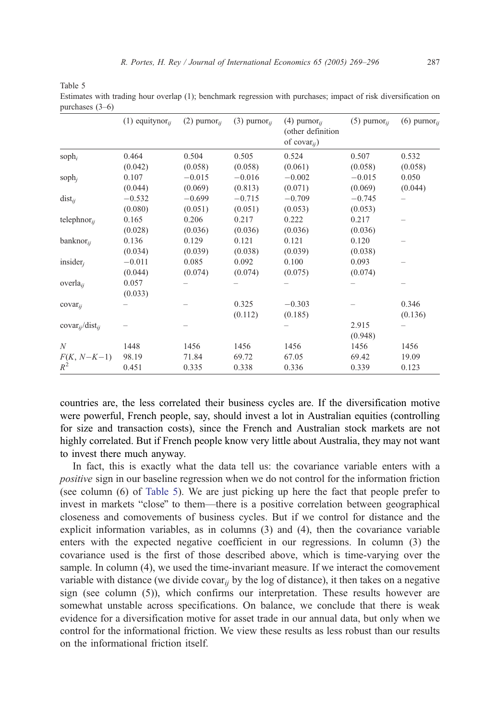<span id="page-18-0"></span>Table 5

(1) equitynor<sub>ij</sub> (2) purnor<sub>ij</sub> (3) purnor<sub>ij</sub> (4) purnor<sub>ij</sub> (other definition of  $covar_{ii}$ ) (5) purnor<sub>ij</sub> (6) purnor<sub>ij</sub> soph<sub>i</sub>  $0.464$ (0.042) 0.504 (0.058) 0.505 (0.058) 0.524 (0.061) 0.507 (0.058) 0.532 (0.058)  $soph_i$  0.107 (0.044)  $-0.015$ (0.069)  $-0.016$ (0.813)  $-0.002$ (0.071)  $-0.015$ (0.069) 0.050  $(0.044)$ dist<sub>ij</sub>  $-0.532$ (0.080)  $-0.699$ (0.051)  $-0.715$ (0.051)  $-0.709$  $(0.053)$  $-0.745$ (0.053) – telephnor $_{ii}$  0.165 (0.028) 0.206 (0.036) 0.217 (0.036) 0.222 (0.036) 0.217 (0.036) –  $banknor_{ij}$  0.136 (0.034) 0.129 (0.039) 0.121 (0.038) 0.121 (0.039) 0.120 (0.038) –  $insider_i$   $-0.011$ (0.044) 0.085 (0.074) 0.092 (0.074) 0.100 (0.075) 0.093 (0.074) –  $overla_{ii}$  0.057 (0.033) ––– ––  $covar_{ij}$  – – 0.325 (0.112)  $-0.303$ (0.185) – 0.346 (0.136)  $\frac{1}{\text{covari}_j}\text{dist}_{ij}$  – – – 2.915 (0.948) – N 1448 1456 1456 1456 1456 1456 1456  $F(K, N-K-1)$  98.19 71.84 69.72 67.05 69.42 19.09

Estimates with trading hour overlap (1); benchmark regression with purchases; impact of risk diversification on purchases (3–6)

countries are, the less correlated their business cycles are. If the diversification motive were powerful, French people, say, should invest a lot in Australian equities (controlling for size and transaction costs), since the French and Australian stock markets are not highly correlated. But if French people know very little about Australia, they may not want to invest there much anyway.

 $R^2$  0.451 0.335 0.338 0.336 0.339 0.123

In fact, this is exactly what the data tell us: the covariance variable enters with a positive sign in our baseline regression when we do not control for the information friction (see column (6) of Table 5). We are just picking up here the fact that people prefer to invest in markets "close" to them—there is a positive correlation between geographical closeness and comovements of business cycles. But if we control for distance and the explicit information variables, as in columns (3) and (4), then the covariance variable enters with the expected negative coefficient in our regressions. In column (3) the covariance used is the first of those described above, which is time-varying over the sample. In column (4), we used the time-invariant measure. If we interact the comovement variable with distance (we divide covar<sub>ij</sub> by the log of distance), it then takes on a negative sign (see column (5)), which confirms our interpretation. These results however are somewhat unstable across specifications. On balance, we conclude that there is weak evidence for a diversification motive for asset trade in our annual data, but only when we control for the informational friction. We view these results as less robust than our results on the informational friction itself.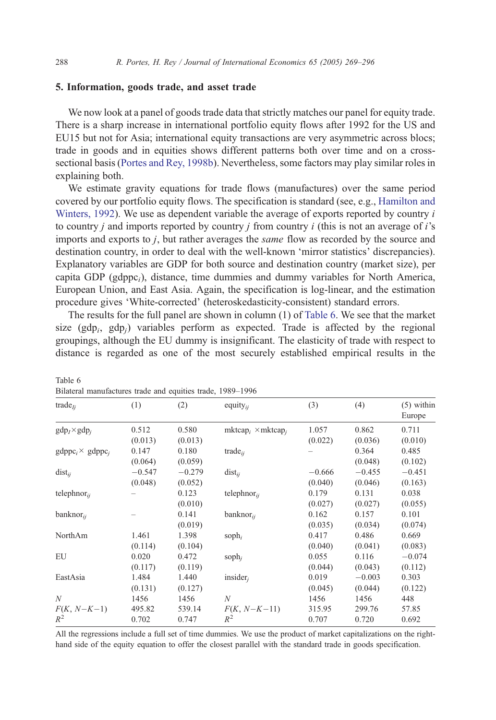## <span id="page-19-0"></span>5. Information, goods trade, and asset trade

We now look at a panel of goods trade data that strictly matches our panel for equity trade. There is a sharp increase in international portfolio equity flows after 1992 for the US and EU15 but not for Asia; international equity transactions are very asymmetric across blocs; trade in goods and in equities shows different patterns both over time and on a crosssectional basis [\(Portes and Rey, 1998b\)](#page-26-0). Nevertheless, some factors may play similar roles in explaining both.

We estimate gravity equations for trade flows (manufactures) over the same period covered by our portfolio equity flows. The specification is standard (see, e.g., [Hamilton and](#page-25-0) Winters,  $1992$ ). We use as dependent variable the average of exports reported by country  $i$ to country  $j$  and imports reported by country  $j$  from country  $i$  (this is not an average of  $i$ 's imports and exports to  $i$ , but rather averages the *same* flow as recorded by the source and destination country, in order to deal with the well-known 'mirror statistics' discrepancies). Explanatory variables are GDP for both source and destination country (market size), per capita GDP ( $gdppe<sub>i</sub>$ ), distance, time dummies and dummy variables for North America, European Union, and East Asia. Again, the specification is log-linear, and the estimation procedure gives 'White-corrected' (heteroskedasticity-consistent) standard errors.

The results for the full panel are shown in column (1) of Table 6. We see that the market size  $(gdp_i, gdp_i)$  variables perform as expected. Trade is affected by the regional groupings, although the EU dummy is insignificant. The elasticity of trade with respect to distance is regarded as one of the most securely established empirical results in the

|                          | Driateral manufactures trade and equities trade, 1989–1990 |          |                              |          |          |                        |  |  |
|--------------------------|------------------------------------------------------------|----------|------------------------------|----------|----------|------------------------|--|--|
| trade $_{Ii}$            | (1)                                                        | (2)      | equity $_{ii}$               | (3)      | (4)      | $(5)$ within<br>Europe |  |  |
| $gdp_I \times gdp_i$     | 0.512                                                      | 0.580    | $m$ ktcap, $\times m$ ktcap, | 1.057    | 0.862    | 0.711                  |  |  |
|                          | (0.013)                                                    | (0.013)  |                              | (0.022)  | (0.036)  | (0.010)                |  |  |
| $gdppc_i \times gdppc_i$ | 0.147                                                      | 0.180    | trade $_{ii}$                |          | 0.364    | 0.485                  |  |  |
|                          | (0.064)                                                    | (0.059)  |                              |          | (0.048)  | (0.102)                |  |  |
| $dist_{ii}$              | $-0.547$                                                   | $-0.279$ | $dist_{ii}$                  | $-0.666$ | $-0.455$ | $-0.451$               |  |  |
|                          | (0.048)                                                    | (0.052)  |                              | (0.040)  | (0.046)  | (0.163)                |  |  |
| telephnor $_{ii}$        |                                                            | 0.123    | telephnor $_{ii}$            | 0.179    | 0.131    | 0.038                  |  |  |
|                          |                                                            | (0.010)  |                              | (0.027)  | (0.027)  | (0.055)                |  |  |
| $banknor_{ii}$           |                                                            | 0.141    | $banknor_{ii}$               | 0.162    | 0.157    | 0.101                  |  |  |
|                          |                                                            | (0.019)  |                              | (0.035)  | (0.034)  | (0.074)                |  |  |
| NorthAm                  | 1.461                                                      | 1.398    | soph <sub>i</sub>            | 0.417    | 0.486    | 0.669                  |  |  |
|                          | (0.114)                                                    | (0.104)  |                              | (0.040)  | (0.041)  | (0.083)                |  |  |
| EU                       | 0.020                                                      | 0.472    | soph <sub>i</sub>            | 0.055    | 0.116    | $-0.074$               |  |  |
|                          | (0.117)                                                    | (0.119)  |                              | (0.044)  | (0.043)  | (0.112)                |  |  |
| EastAsia                 | 1.484                                                      | 1.440    | $insider_i$                  | 0.019    | $-0.003$ | 0.303                  |  |  |
|                          | (0.131)                                                    | (0.127)  |                              | (0.045)  | (0.044)  | (0.122)                |  |  |
| $\mathcal N$             | 1456                                                       | 1456     | $\boldsymbol{N}$             | 1456     | 1456     | 448                    |  |  |
| $F(K, N-K-1)$            | 495.82                                                     | 539.14   | $F(K, N-K-11)$               | 315.95   | 299.76   | 57.85                  |  |  |
| $R^2$                    | 0.702                                                      | 0.747    | $R^2$                        | 0.707    | 0.720    | 0.692                  |  |  |

Table 6 Bilateral manufactures trade and equities trade, 1989–1996

All the regressions include a full set of time dummies. We use the product of market capitalizations on the righthand side of the equity equation to offer the closest parallel with the standard trade in goods specification.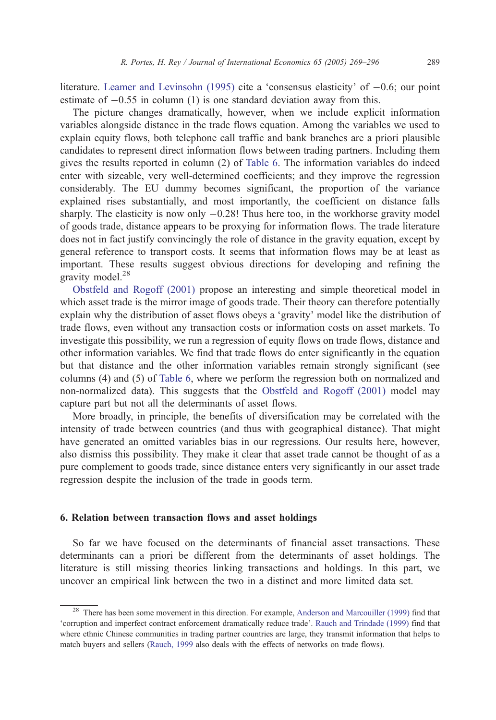literature. [Leamer and Levinsohn \(1995\)](#page-26-0) cite a 'consensus elasticity' of  $-0.6$ ; our point estimate of  $-0.55$  in column (1) is one standard deviation away from this.

The picture changes dramatically, however, when we include explicit information variables alongside distance in the trade flows equation. Among the variables we used to explain equity flows, both telephone call traffic and bank branches are a priori plausible candidates to represent direct information flows between trading partners. Including them gives the results reported in column (2) of [Table 6.](#page-19-0) The information variables do indeed enter with sizeable, very well-determined coefficients; and they improve the regression considerably. The EU dummy becomes significant, the proportion of the variance explained rises substantially, and most importantly, the coefficient on distance falls sharply. The elasticity is now only  $-0.28$ ! Thus here too, in the workhorse gravity model of goods trade, distance appears to be proxying for information flows. The trade literature does not in fact justify convincingly the role of distance in the gravity equation, except by general reference to transport costs. It seems that information flows may be at least as important. These results suggest obvious directions for developing and refining the gravity model.<sup>28</sup>

[Obstfeld and Rogoff \(2001\)](#page-26-0) propose an interesting and simple theoretical model in which asset trade is the mirror image of goods trade. Their theory can therefore potentially explain why the distribution of asset flows obeys a 'gravity' model like the distribution of trade flows, even without any transaction costs or information costs on asset markets. To investigate this possibility, we run a regression of equity flows on trade flows, distance and other information variables. We find that trade flows do enter significantly in the equation but that distance and the other information variables remain strongly significant (see columns (4) and (5) of [Table 6,](#page-19-0) where we perform the regression both on normalized and non-normalized data). This suggests that the [Obstfeld and Rogoff \(2001\)](#page-26-0) model may capture part but not all the determinants of asset flows.

More broadly, in principle, the benefits of diversification may be correlated with the intensity of trade between countries (and thus with geographical distance). That might have generated an omitted variables bias in our regressions. Our results here, however, also dismiss this possibility. They make it clear that asset trade cannot be thought of as a pure complement to goods trade, since distance enters very significantly in our asset trade regression despite the inclusion of the trade in goods term.

#### 6. Relation between transaction flows and asset holdings

So far we have focused on the determinants of financial asset transactions. These determinants can a priori be different from the determinants of asset holdings. The literature is still missing theories linking transactions and holdings. In this part, we uncover an empirical link between the two in a distinct and more limited data set.

<sup>&</sup>lt;sup>28</sup> There has been some movement in this direction. For example, [Anderson and Marcouiller \(1999\)](#page-25-0) find that 'corruption and imperfect contract enforcement dramatically reduce trade'. [Rauch and Trindade \(1999\)](#page-26-0) find that where ethnic Chinese communities in trading partner countries are large, they transmit information that helps to match buyers and sellers ([Rauch, 1999](#page-26-0) also deals with the effects of networks on trade flows).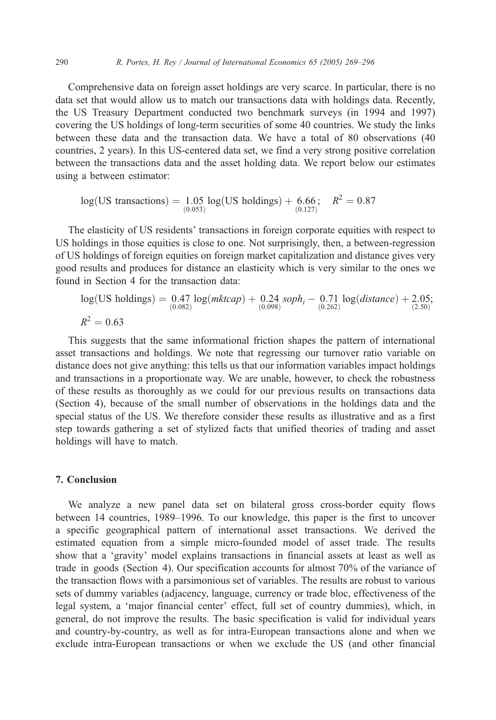Comprehensive data on foreign asset holdings are very scarce. In particular, there is no data set that would allow us to match our transactions data with holdings data. Recently, the US Treasury Department conducted two benchmark surveys (in 1994 and 1997) covering the US holdings of long-term securities of some 40 countries. We study the links between these data and the transaction data. We have a total of 80 observations (40 countries, 2 years). In this US-centered data set, we find a very strong positive correlation between the transactions data and the asset holding data. We report below our estimates using a between estimator:

$$
log(US \text{ transactions}) = 1.05 log(US \text{ holdings}) + 6.66;
$$
  $R^2 = 0.87$ 

The elasticity of US residents' transactions in foreign corporate equities with respect to US holdings in those equities is close to one. Not surprisingly, then, a between-regression of US holdings of foreign equities on foreign market capitalization and distance gives very good results and produces for distance an elasticity which is very similar to the ones we found in Section 4 for the transaction data:

$$
log(US \text{ holdings}) = 0.47 \log(mktcap) + 0.24 \text{ soph}_i - 0.71 \log(distance) + 2.05;
$$
  

$$
R^2 = 0.63
$$

This suggests that the same informational friction shapes the pattern of international asset transactions and holdings. We note that regressing our turnover ratio variable on distance does not give anything: this tells us that our information variables impact holdings and transactions in a proportionate way. We are unable, however, to check the robustness of these results as thoroughly as we could for our previous results on transactions data (Section 4), because of the small number of observations in the holdings data and the special status of the US. We therefore consider these results as illustrative and as a first step towards gathering a set of stylized facts that unified theories of trading and asset holdings will have to match.

# 7. Conclusion

We analyze a new panel data set on bilateral gross cross-border equity flows between 14 countries, 1989–1996. To our knowledge, this paper is the first to uncover a specific geographical pattern of international asset transactions. We derived the estimated equation from a simple micro-founded model of asset trade. The results show that a 'gravity' model explains transactions in financial assets at least as well as trade in goods (Section 4). Our specification accounts for almost 70% of the variance of the transaction flows with a parsimonious set of variables. The results are robust to various sets of dummy variables (adjacency, language, currency or trade bloc, effectiveness of the legal system, a 'major financial center' effect, full set of country dummies), which, in general, do not improve the results. The basic specification is valid for individual years and country-by-country, as well as for intra-European transactions alone and when we exclude intra-European transactions or when we exclude the US (and other financial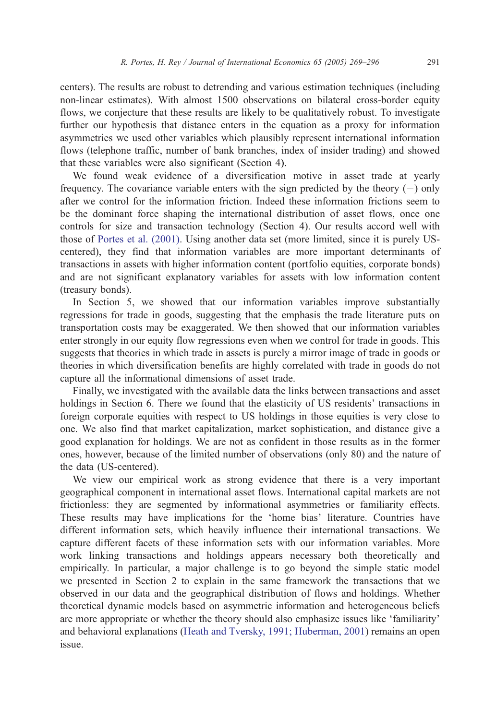centers). The results are robust to detrending and various estimation techniques (including non-linear estimates). With almost 1500 observations on bilateral cross-border equity flows, we conjecture that these results are likely to be qualitatively robust. To investigate further our hypothesis that distance enters in the equation as a proxy for information asymmetries we used other variables which plausibly represent international information flows (telephone traffic, number of bank branches, index of insider trading) and showed that these variables were also significant (Section 4).

We found weak evidence of a diversification motive in asset trade at yearly frequency. The covariance variable enters with the sign predicted by the theory  $(-)$  only after we control for the information friction. Indeed these information frictions seem to be the dominant force shaping the international distribution of asset flows, once one controls for size and transaction technology (Section 4). Our results accord well with those of [Portes et al. \(2001\).](#page-26-0) Using another data set (more limited, since it is purely UScentered), they find that information variables are more important determinants of transactions in assets with higher information content (portfolio equities, corporate bonds) and are not significant explanatory variables for assets with low information content (treasury bonds).

In Section 5, we showed that our information variables improve substantially regressions for trade in goods, suggesting that the emphasis the trade literature puts on transportation costs may be exaggerated. We then showed that our information variables enter strongly in our equity flow regressions even when we control for trade in goods. This suggests that theories in which trade in assets is purely a mirror image of trade in goods or theories in which diversification benefits are highly correlated with trade in goods do not capture all the informational dimensions of asset trade.

Finally, we investigated with the available data the links between transactions and asset holdings in Section 6. There we found that the elasticity of US residents' transactions in foreign corporate equities with respect to US holdings in those equities is very close to one. We also find that market capitalization, market sophistication, and distance give a good explanation for holdings. We are not as confident in those results as in the former ones, however, because of the limited number of observations (only 80) and the nature of the data (US-centered).

We view our empirical work as strong evidence that there is a very important geographical component in international asset flows. International capital markets are not frictionless: they are segmented by informational asymmetries or familiarity effects. These results may have implications for the 'home bias' literature. Countries have different information sets, which heavily influence their international transactions. We capture different facets of these information sets with our information variables. More work linking transactions and holdings appears necessary both theoretically and empirically. In particular, a major challenge is to go beyond the simple static model we presented in Section 2 to explain in the same framework the transactions that we observed in our data and the geographical distribution of flows and holdings. Whether theoretical dynamic models based on asymmetric information and heterogeneous beliefs are more appropriate or whether the theory should also emphasize issues like 'familiarity' and behavioral explanations ([Heath and Tversky, 1991; Huberman, 2001\)](#page-26-0) remains an open issue.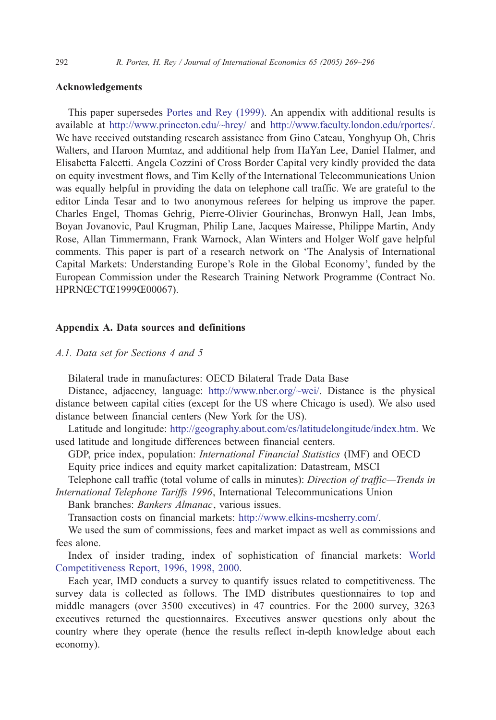## Acknowledgements

This paper supersedes [Portes and Rey \(1999\).](#page-26-0) An appendix with additional results is available at <http://www.princeton.edu/~hrey/> and [http://www.faculty.london.edu/rportes/.](http://www.faculty.london.edu/rportes/) We have received outstanding research assistance from Gino Cateau, Yonghyup Oh, Chris Walters, and Haroon Mumtaz, and additional help from HaYan Lee, Daniel Halmer, and Elisabetta Falcetti. Angela Cozzini of Cross Border Capital very kindly provided the data on equity investment flows, and Tim Kelly of the International Telecommunications Union was equally helpful in providing the data on telephone call traffic. We are grateful to the editor Linda Tesar and to two anonymous referees for helping us improve the paper. Charles Engel, Thomas Gehrig, Pierre-Olivier Gourinchas, Bronwyn Hall, Jean Imbs, Boyan Jovanovic, Paul Krugman, Philip Lane, Jacques Mairesse, Philippe Martin, Andy Rose, Allan Timmermann, Frank Warnock, Alan Winters and Holger Wolf gave helpful comments. This paper is part of a research network on 'The Analysis of International Capital Markets: Understanding Europe's Role in the Global Economy', funded by the European Commission under the Research Training Network Programme (Contract No. HPRNCCTC1999C00067).

#### Appendix A. Data sources and definitions

## A.1. Data set for Sections 4 and 5

Bilateral trade in manufactures: OECD Bilateral Trade Data Base

Distance, adjacency, language: [http://www.nber.org/~wei/.](http://www.nber.org/~wei/) Distance is the physical distance between capital cities (except for the US where Chicago is used). We also used distance between financial centers (New York for the US).

Latitude and longitude: [http://geography.about.com/cs/latitudelongitude/index.htm.](http://www.geography.about.com/cs/latitudelongitude/index.htm) We used latitude and longitude differences between financial centers.

GDP, price index, population: International Financial Statistics (IMF) and OECD Equity price indices and equity market capitalization: Datastream, MSCI

Telephone call traffic (total volume of calls in minutes): Direction of traffic—Trends in International Telephone Tariffs 1996, International Telecommunications Union

Bank branches: Bankers Almanac, various issues.

Transaction costs on financial markets: [http://www.elkins-mcsherry.com/.](http://www.elkins-mcsherry.com/)

We used the sum of commissions, fees and market impact as well as commissions and fees alone.

Index of insider trading, index of sophistication of financial markets: [World](#page-27-0) Competitiveness Report, 1996, 1998, 2000.

Each year, IMD conducts a survey to quantify issues related to competitiveness. The survey data is collected as follows. The IMD distributes questionnaires to top and middle managers (over 3500 executives) in 47 countries. For the 2000 survey, 3263 executives returned the questionnaires. Executives answer questions only about the country where they operate (hence the results reflect in-depth knowledge about each economy).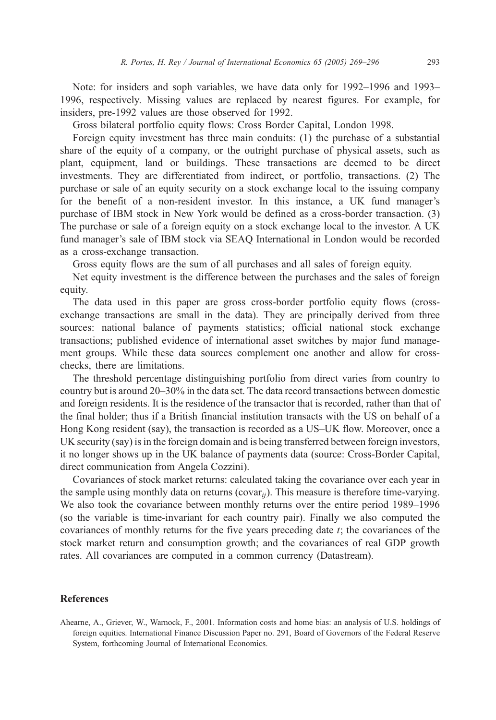<span id="page-24-0"></span>Note: for insiders and soph variables, we have data only for 1992–1996 and 1993– 1996, respectively. Missing values are replaced by nearest figures. For example, for insiders, pre-1992 values are those observed for 1992.

Gross bilateral portfolio equity flows: Cross Border Capital, London 1998.

Foreign equity investment has three main conduits: (1) the purchase of a substantial share of the equity of a company, or the outright purchase of physical assets, such as plant, equipment, land or buildings. These transactions are deemed to be direct investments. They are differentiated from indirect, or portfolio, transactions. (2) The purchase or sale of an equity security on a stock exchange local to the issuing company for the benefit of a non-resident investor. In this instance, a UK fund manager's purchase of IBM stock in New York would be defined as a cross-border transaction. (3) The purchase or sale of a foreign equity on a stock exchange local to the investor. A UK fund manager's sale of IBM stock via SEAQ International in London would be recorded as a cross-exchange transaction.

Gross equity flows are the sum of all purchases and all sales of foreign equity.

Net equity investment is the difference between the purchases and the sales of foreign equity.

The data used in this paper are gross cross-border portfolio equity flows (crossexchange transactions are small in the data). They are principally derived from three sources: national balance of payments statistics; official national stock exchange transactions; published evidence of international asset switches by major fund management groups. While these data sources complement one another and allow for crosschecks, there are limitations.

The threshold percentage distinguishing portfolio from direct varies from country to country but is around 20–30% in the data set. The data record transactions between domestic and foreign residents. It is the residence of the transactor that is recorded, rather than that of the final holder; thus if a British financial institution transacts with the US on behalf of a Hong Kong resident (say), the transaction is recorded as a US–UK flow. Moreover, once a UK security (say) is in the foreign domain and is being transferred between foreign investors, it no longer shows up in the UK balance of payments data (source: Cross-Border Capital, direct communication from Angela Cozzini).

Covariances of stock market returns: calculated taking the covariance over each year in the sample using monthly data on returns ( $covar_{ij}$ ). This measure is therefore time-varying. We also took the covariance between monthly returns over the entire period 1989–1996 (so the variable is time-invariant for each country pair). Finally we also computed the covariances of monthly returns for the five years preceding date t; the covariances of the stock market return and consumption growth; and the covariances of real GDP growth rates. All covariances are computed in a common currency (Datastream).

### References

Ahearne, A., Griever, W., Warnock, F., 2001. Information costs and home bias: an analysis of U.S. holdings of foreign equities. International Finance Discussion Paper no. 291, Board of Governors of the Federal Reserve System, forthcoming Journal of International Economics.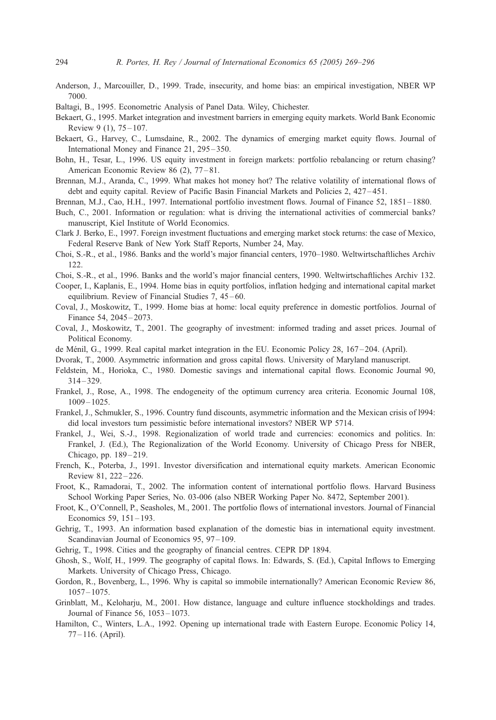- <span id="page-25-0"></span>Anderson, J., Marcouiller, D., 1999. Trade, insecurity, and home bias: an empirical investigation, NBER WP 7000.
- Baltagi, B., 1995. Econometric Analysis of Panel Data. Wiley, Chichester.
- Bekaert, G., 1995. Market integration and investment barriers in emerging equity markets. World Bank Economic Review 9 (1), 75 – 107.
- Bekaert, G., Harvey, C., Lumsdaine, R., 2002. The dynamics of emerging market equity flows. Journal of International Money and Finance 21, 295 – 350.
- Bohn, H., Tesar, L., 1996. US equity investment in foreign markets: portfolio rebalancing or return chasing? American Economic Review 86 (2), 77 – 81.
- Brennan, M.J., Aranda, C., 1999. What makes hot money hot? The relative volatility of international flows of debt and equity capital. Review of Pacific Basin Financial Markets and Policies 2, 427 – 451.
- Brennan, M.J., Cao, H.H., 1997. International portfolio investment flows. Journal of Finance 52, 1851 1880.
- Buch, C., 2001. Information or regulation: what is driving the international activities of commercial banks? manuscript, Kiel Institute of World Economics.
- Clark J. Berko, E., 1997. Foreign investment fluctuations and emerging market stock returns: the case of Mexico, Federal Reserve Bank of New York Staff Reports, Number 24, May.
- Choi, S.-R., et al., 1986. Banks and the world's major financial centers, 1970–1980. Weltwirtschaftliches Archiv 122.
- Choi, S.-R., et al., 1996. Banks and the world's major financial centers, 1990. Weltwirtschaftliches Archiv 132.
- Cooper, I., Kaplanis, E., 1994. Home bias in equity portfolios, inflation hedging and international capital market equilibrium. Review of Financial Studies 7, 45-60.
- Coval, J., Moskowitz, T., 1999. Home bias at home: local equity preference in domestic portfolios. Journal of Finance 54, 2045-2073.
- Coval, J., Moskowitz, T., 2001. The geography of investment: informed trading and asset prices. Journal of Political Economy.
- de Ménil, G., 1999. Real capital market integration in the EU. Economic Policy 28, 167–204. (April).
- Dvorak, T., 2000. Asymmetric information and gross capital flows. University of Maryland manuscript.
- Feldstein, M., Horioka, C., 1980. Domestic savings and international capital flows. Economic Journal 90,  $314 - 329$
- Frankel, J., Rose, A., 1998. The endogeneity of the optimum currency area criteria. Economic Journal 108, 1009 – 1025.
- Frankel, J., Schmukler, S., 1996. Country fund discounts, asymmetric information and the Mexican crisis of l994: did local investors turn pessimistic before international investors? NBER WP 5714.
- Frankel, J., Wei, S.-J., 1998. Regionalization of world trade and currencies: economics and politics. In: Frankel, J. (Ed.), The Regionalization of the World Economy. University of Chicago Press for NBER, Chicago, pp. 189-219.
- French, K., Poterba, J., 1991. Investor diversification and international equity markets. American Economic Review 81, 222 – 226.
- Froot, K., Ramadorai, T., 2002. The information content of international portfolio flows. Harvard Business School Working Paper Series, No. 03-006 (also NBER Working Paper No. 8472, September 2001).
- Froot, K., O'Connell, P., Seasholes, M., 2001. The portfolio flows of international investors. Journal of Financial Economics 59, 151 – 193.
- Gehrig, T., 1993. An information based explanation of the domestic bias in international equity investment. Scandinavian Journal of Economics 95, 97-109.
- Gehrig, T., 1998. Cities and the geography of financial centres. CEPR DP 1894.
- Ghosh, S., Wolf, H., 1999. The geography of capital flows. In: Edwards, S. (Ed.), Capital Inflows to Emerging Markets. University of Chicago Press, Chicago.
- Gordon, R., Bovenberg, L., 1996. Why is capital so immobile internationally? American Economic Review 86,  $1057 - 1075$ .
- Grinblatt, M., Keloharju, M., 2001. How distance, language and culture influence stockholdings and trades. Journal of Finance 56, 1053 – 1073.
- Hamilton, C., Winters, L.A., 1992. Opening up international trade with Eastern Europe. Economic Policy 14, 77 – 116. (April).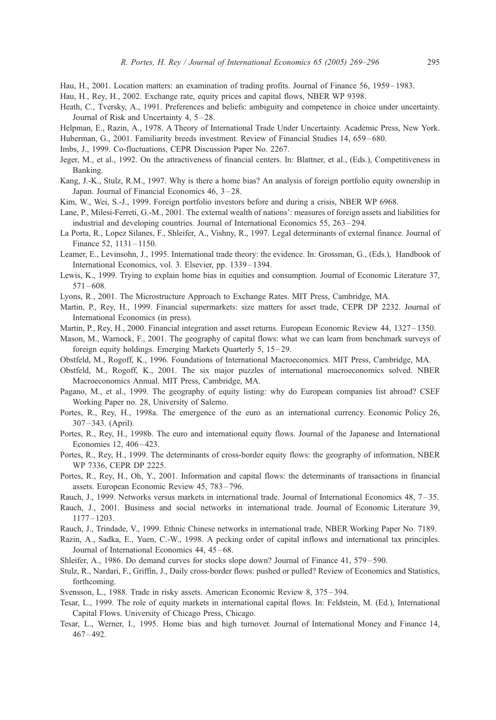- <span id="page-26-0"></span>Hau, H., 2001. Location matters: an examination of trading profits. Journal of Finance 56, 1959 – 1983.
- Hau, H., Rey, H., 2002. Exchange rate, equity prices and capital flows, NBER WP 9398.
- Heath, C., Tversky, A., 1991. Preferences and beliefs: ambiguity and competence in choice under uncertainty. Journal of Risk and Uncertainty 4, 5–28.
- Helpman, E., Razin, A., 1978. A Theory of International Trade Under Uncertainty. Academic Press, New York.
- Huberman, G., 2001. Familiarity breeds investment. Review of Financial Studies 14, 659 680.
- Imbs, J., 1999. Co-fluctuations, CEPR Discussion Paper No. 2267.
- Jeger, M., et al., 1992. On the attractiveness of financial centers. In: Blattner, et al., (Eds.), Competitiveness in Banking.
- Kang, J.-K., Stulz, R.M., 1997. Why is there a home bias? An analysis of foreign portfolio equity ownership in Japan. Journal of Financial Economics 46, 3-28.
- Kim, W., Wei, S.-J., 1999. Foreign portfolio investors before and during a crisis, NBER WP 6968.
- Lane, P., Milesi-Ferreti, G.-M., 2001. The external wealth of nations': measures of foreign assets and liabilities for industrial and developing countries. Journal of International Economics 55, 263 – 294.
- La Porta, R., Lopez Silanes, F., Shleifer, A., Vishny, R., 1997. Legal determinants of external finance. Journal of Finance 52, 1131 – 1150.
- Leamer, E., Levinsohn, J., 1995. International trade theory: the evidence. In: Grossman, G., (Eds.), Handbook of International Economics, vol. 3. Elsevier, pp. 1339 – 1394.
- Lewis, K., 1999. Trying to explain home bias in equities and consumption. Journal of Economic Literature 37,  $571 - 608$
- Lyons, R., 2001. The Microstructure Approach to Exchange Rates. MIT Press, Cambridge, MA.
- Martin, P., Rey, H., 1999. Financial supermarkets: size matters for asset trade, CEPR DP 2232. Journal of International Economics (in press).
- Martin, P., Rey, H., 2000. Financial integration and asset returns. European Economic Review 44, 1327 1350.
- Mason, M., Warnock, F., 2001. The geography of capital flows: what we can learn from benchmark surveys of foreign equity holdings. Emerging Markets Quarterly 5, 15 – 29.
- Obstfeld, M., Rogoff, K., 1996. Foundations of International Macroeconomics. MIT Press, Cambridge, MA.
- Obstfeld, M., Rogoff, K., 2001. The six major puzzles of international macroeconomics solved. NBER Macroeconomics Annual. MIT Press, Cambridge, MA.
- Pagano, M., et al., 1999. The geography of equity listing: why do European companies list abroad? CSEF Working Paper no. 28, University of Salerno.
- Portes, R., Rey, H., 1998a. The emergence of the euro as an international currency. Economic Policy 26, 307 – 343. (April).
- Portes, R., Rey, H., 1998b. The euro and international equity flows. Journal of the Japanese and International Economies 12, 406 – 423.
- Portes, R., Rey, H., 1999. The determinants of cross-border equity flows: the geography of information, NBER WP 7336, CEPR DP 2225.
- Portes, R., Rey, H., Oh, Y., 2001. Information and capital flows: the determinants of transactions in financial assets. European Economic Review 45, 783 – 796.
- Rauch, J., 1999. Networks versus markets in international trade. Journal of International Economics 48, 7 35.
- Rauch, J., 2001. Business and social networks in international trade. Journal of Economic Literature 39, 1177 – 1203.
- Rauch, J., Trindade, V., 1999. Ethnic Chinese networks in international trade, NBER Working Paper No. 7189.
- Razin, A., Sadka, E., Yuen, C.-W., 1998. A pecking order of capital inflows and international tax principles. Journal of International Economics 44, 45 – 68.
- Shleifer, A., 1986. Do demand curves for stocks slope down? Journal of Finance 41, 579 590.
- Stulz, R., Nardari, F., Griffin, J., Daily cross-border flows: pushed or pulled? Review of Economics and Statistics, forthcoming.
- Svensson, L., 1988. Trade in risky assets. American Economic Review 8, 375 394.
- Tesar, L., 1999. The role of equity markets in international capital flows. In: Feldstein, M. (Ed.), International Capital Flows. University of Chicago Press, Chicago.
- Tesar, L., Werner, I., 1995. Home bias and high turnover. Journal of International Money and Finance 14,  $467 - 492.$